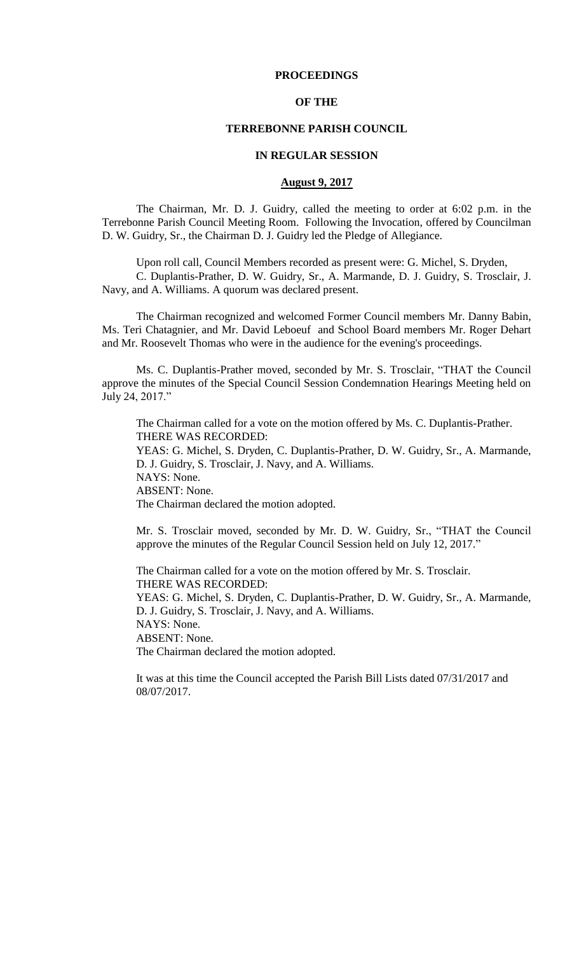## **PROCEEDINGS**

## **OF THE**

## **TERREBONNE PARISH COUNCIL**

## **IN REGULAR SESSION**

## **August 9, 2017**

The Chairman, Mr. D. J. Guidry, called the meeting to order at 6:02 p.m. in the Terrebonne Parish Council Meeting Room. Following the Invocation, offered by Councilman D. W. Guidry, Sr., the Chairman D. J. Guidry led the Pledge of Allegiance.

Upon roll call, Council Members recorded as present were: G. Michel, S. Dryden,

C. Duplantis-Prather, D. W. Guidry, Sr., A. Marmande, D. J. Guidry, S. Trosclair, J. Navy, and A. Williams. A quorum was declared present.

The Chairman recognized and welcomed Former Council members Mr. Danny Babin, Ms. Teri Chatagnier, and Mr. David Leboeuf and School Board members Mr. Roger Dehart and Mr. Roosevelt Thomas who were in the audience for the evening's proceedings.

Ms. C. Duplantis-Prather moved, seconded by Mr. S. Trosclair, "THAT the Council approve the minutes of the Special Council Session Condemnation Hearings Meeting held on July 24, 2017."

The Chairman called for a vote on the motion offered by Ms. C. Duplantis-Prather. THERE WAS RECORDED:

YEAS: G. Michel, S. Dryden, C. Duplantis-Prather, D. W. Guidry, Sr., A. Marmande, D. J. Guidry, S. Trosclair, J. Navy, and A. Williams.

NAYS: None.

ABSENT: None.

The Chairman declared the motion adopted.

Mr. S. Trosclair moved, seconded by Mr. D. W. Guidry, Sr., "THAT the Council approve the minutes of the Regular Council Session held on July 12, 2017."

The Chairman called for a vote on the motion offered by Mr. S. Trosclair. THERE WAS RECORDED: YEAS: G. Michel, S. Dryden, C. Duplantis-Prather, D. W. Guidry, Sr., A. Marmande, D. J. Guidry, S. Trosclair, J. Navy, and A. Williams. NAYS: None. ABSENT: None. The Chairman declared the motion adopted.

It was at this time the Council accepted the Parish Bill Lists dated 07/31/2017 and 08/07/2017.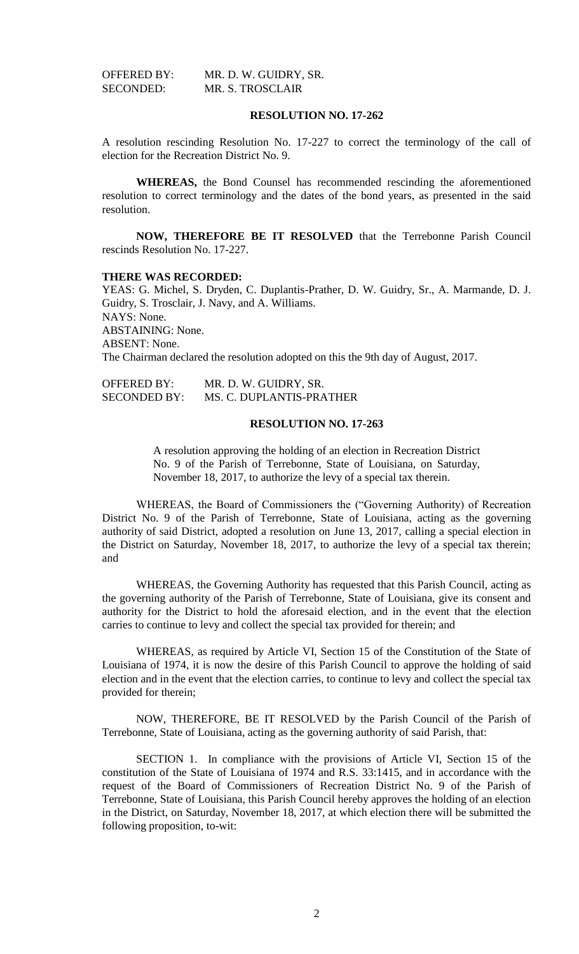| <b>OFFERED BY:</b> | MR. D. W. GUIDRY, SR.   |
|--------------------|-------------------------|
| SECONDED:          | <b>MR. S. TROSCLAIR</b> |

## **RESOLUTION NO. 17-262**

A resolution rescinding Resolution No. 17-227 to correct the terminology of the call of election for the Recreation District No. 9.

**WHEREAS,** the Bond Counsel has recommended rescinding the aforementioned resolution to correct terminology and the dates of the bond years, as presented in the said resolution.

**NOW, THEREFORE BE IT RESOLVED** that the Terrebonne Parish Council rescinds Resolution No. 17-227.

#### **THERE WAS RECORDED:**

YEAS: G. Michel, S. Dryden, C. Duplantis-Prather, D. W. Guidry, Sr., A. Marmande, D. J. Guidry, S. Trosclair, J. Navy, and A. Williams. NAYS: None. ABSTAINING: None. ABSENT: None. The Chairman declared the resolution adopted on this the 9th day of August, 2017.

| <b>OFFERED BY:</b>  | MR. D. W. GUIDRY, SR.    |
|---------------------|--------------------------|
| <b>SECONDED BY:</b> | MS. C. DUPLANTIS-PRATHER |

## **RESOLUTION NO. 17-263**

A resolution approving the holding of an election in Recreation District No. 9 of the Parish of Terrebonne, State of Louisiana, on Saturday, November 18, 2017, to authorize the levy of a special tax therein.

WHEREAS, the Board of Commissioners the ("Governing Authority) of Recreation District No. 9 of the Parish of Terrebonne, State of Louisiana, acting as the governing authority of said District, adopted a resolution on June 13, 2017, calling a special election in the District on Saturday, November 18, 2017, to authorize the levy of a special tax therein; and

WHEREAS, the Governing Authority has requested that this Parish Council, acting as the governing authority of the Parish of Terrebonne, State of Louisiana, give its consent and authority for the District to hold the aforesaid election, and in the event that the election carries to continue to levy and collect the special tax provided for therein; and

WHEREAS, as required by Article VI, Section 15 of the Constitution of the State of Louisiana of 1974, it is now the desire of this Parish Council to approve the holding of said election and in the event that the election carries, to continue to levy and collect the special tax provided for therein;

NOW, THEREFORE, BE IT RESOLVED by the Parish Council of the Parish of Terrebonne, State of Louisiana, acting as the governing authority of said Parish, that:

SECTION 1. In compliance with the provisions of Article VI, Section 15 of the constitution of the State of Louisiana of 1974 and R.S. 33:1415, and in accordance with the request of the Board of Commissioners of Recreation District No. 9 of the Parish of Terrebonne, State of Louisiana, this Parish Council hereby approves the holding of an election in the District, on Saturday, November 18, 2017, at which election there will be submitted the following proposition, to-wit: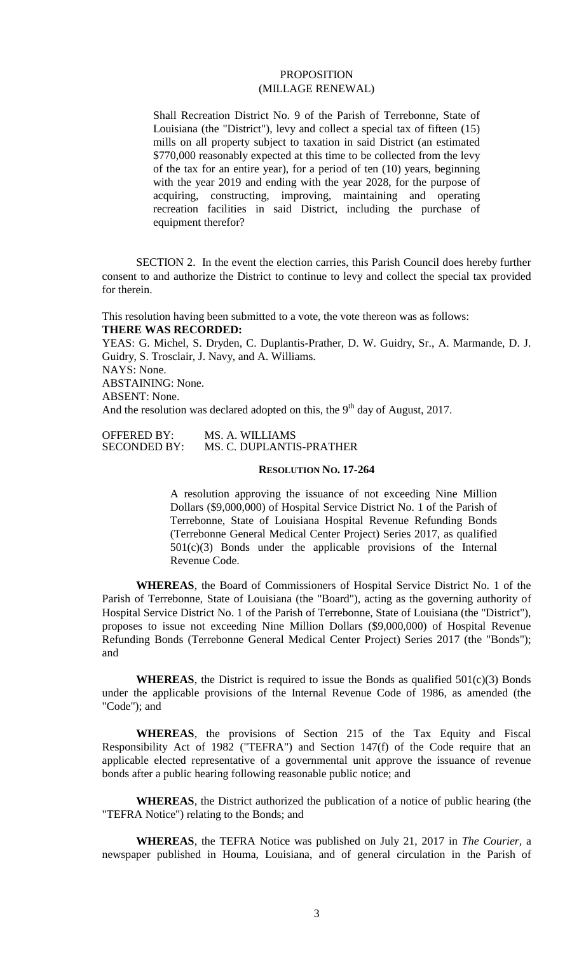## **PROPOSITION** (MILLAGE RENEWAL)

Shall Recreation District No. 9 of the Parish of Terrebonne, State of Louisiana (the "District"), levy and collect a special tax of fifteen (15) mills on all property subject to taxation in said District (an estimated \$770,000 reasonably expected at this time to be collected from the levy of the tax for an entire year), for a period of ten (10) years, beginning with the year 2019 and ending with the year 2028, for the purpose of acquiring, constructing, improving, maintaining and operating recreation facilities in said District, including the purchase of equipment therefor?

SECTION 2. In the event the election carries, this Parish Council does hereby further consent to and authorize the District to continue to levy and collect the special tax provided for therein.

This resolution having been submitted to a vote, the vote thereon was as follows: **THERE WAS RECORDED:**

YEAS: G. Michel, S. Dryden, C. Duplantis-Prather, D. W. Guidry, Sr., A. Marmande, D. J. Guidry, S. Trosclair, J. Navy, and A. Williams. NAYS: None. ABSTAINING: None.

ABSENT: None.

And the resolution was declared adopted on this, the  $9<sup>th</sup>$  day of August, 2017.

| <b>OFFERED BY:</b>  | MS. A. WILLIAMS          |
|---------------------|--------------------------|
| <b>SECONDED BY:</b> | MS. C. DUPLANTIS-PRATHER |

#### **RESOLUTION NO. 17-264**

A resolution approving the issuance of not exceeding Nine Million Dollars (\$9,000,000) of Hospital Service District No. 1 of the Parish of Terrebonne, State of Louisiana Hospital Revenue Refunding Bonds (Terrebonne General Medical Center Project) Series 2017, as qualified 501(c)(3) Bonds under the applicable provisions of the Internal Revenue Code.

**WHEREAS**, the Board of Commissioners of Hospital Service District No. 1 of the Parish of Terrebonne, State of Louisiana (the "Board"), acting as the governing authority of Hospital Service District No. 1 of the Parish of Terrebonne, State of Louisiana (the "District"), proposes to issue not exceeding Nine Million Dollars (\$9,000,000) of Hospital Revenue Refunding Bonds (Terrebonne General Medical Center Project) Series 2017 (the "Bonds"); and

**WHEREAS**, the District is required to issue the Bonds as qualified  $501(c)(3)$  Bonds under the applicable provisions of the Internal Revenue Code of 1986, as amended (the "Code"); and

**WHEREAS**, the provisions of Section 215 of the Tax Equity and Fiscal Responsibility Act of 1982 ("TEFRA") and Section 147(f) of the Code require that an applicable elected representative of a governmental unit approve the issuance of revenue bonds after a public hearing following reasonable public notice; and

**WHEREAS**, the District authorized the publication of a notice of public hearing (the "TEFRA Notice") relating to the Bonds; and

**WHEREAS**, the TEFRA Notice was published on July 21, 2017 in *The Courier,* a newspaper published in Houma, Louisiana, and of general circulation in the Parish of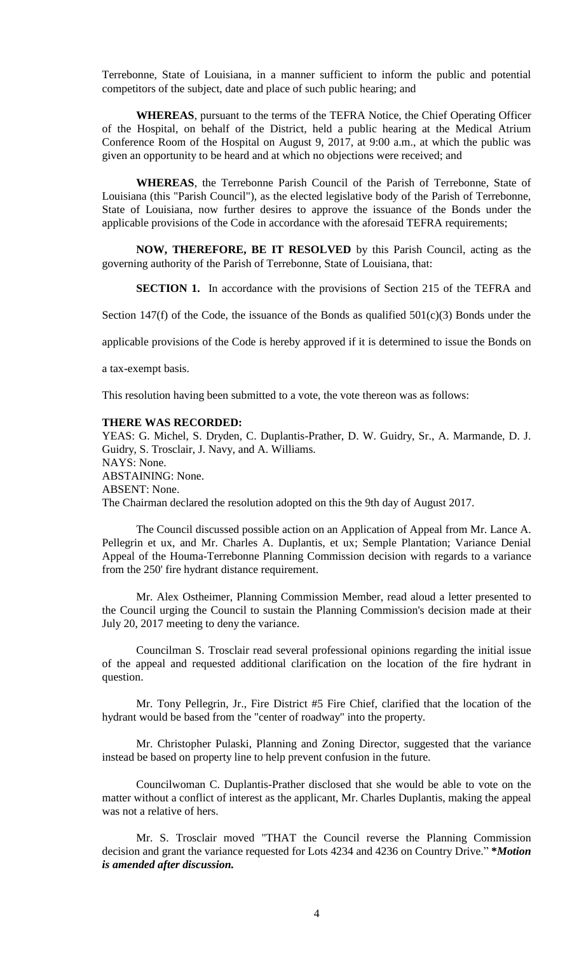Terrebonne, State of Louisiana, in a manner sufficient to inform the public and potential competitors of the subject, date and place of such public hearing; and

**WHEREAS**, pursuant to the terms of the TEFRA Notice, the Chief Operating Officer of the Hospital, on behalf of the District, held a public hearing at the Medical Atrium Conference Room of the Hospital on August 9, 2017, at 9:00 a.m., at which the public was given an opportunity to be heard and at which no objections were received; and

**WHEREAS**, the Terrebonne Parish Council of the Parish of Terrebonne, State of Louisiana (this "Parish Council"), as the elected legislative body of the Parish of Terrebonne, State of Louisiana, now further desires to approve the issuance of the Bonds under the applicable provisions of the Code in accordance with the aforesaid TEFRA requirements;

**NOW, THEREFORE, BE IT RESOLVED** by this Parish Council, acting as the governing authority of the Parish of Terrebonne, State of Louisiana, that:

**SECTION 1.** In accordance with the provisions of Section 215 of the TEFRA and

Section 147(f) of the Code, the issuance of the Bonds as qualified  $501(c)(3)$  Bonds under the

applicable provisions of the Code is hereby approved if it is determined to issue the Bonds on

a tax-exempt basis.

This resolution having been submitted to a vote, the vote thereon was as follows:

#### **THERE WAS RECORDED:**

YEAS: G. Michel, S. Dryden, C. Duplantis-Prather, D. W. Guidry, Sr., A. Marmande, D. J. Guidry, S. Trosclair, J. Navy, and A. Williams. NAYS: None. ABSTAINING: None. ABSENT: None. The Chairman declared the resolution adopted on this the 9th day of August 2017.

The Council discussed possible action on an Application of Appeal from Mr. Lance A. Pellegrin et ux, and Mr. Charles A. Duplantis, et ux; Semple Plantation; Variance Denial Appeal of the Houma-Terrebonne Planning Commission decision with regards to a variance from the 250' fire hydrant distance requirement.

Mr. Alex Ostheimer, Planning Commission Member, read aloud a letter presented to the Council urging the Council to sustain the Planning Commission's decision made at their July 20, 2017 meeting to deny the variance.

Councilman S. Trosclair read several professional opinions regarding the initial issue of the appeal and requested additional clarification on the location of the fire hydrant in question.

Mr. Tony Pellegrin, Jr., Fire District #5 Fire Chief, clarified that the location of the hydrant would be based from the "center of roadway" into the property.

Mr. Christopher Pulaski, Planning and Zoning Director, suggested that the variance instead be based on property line to help prevent confusion in the future.

Councilwoman C. Duplantis-Prather disclosed that she would be able to vote on the matter without a conflict of interest as the applicant, Mr. Charles Duplantis, making the appeal was not a relative of hers.

Mr. S. Trosclair moved "THAT the Council reverse the Planning Commission decision and grant the variance requested for Lots 4234 and 4236 on Country Drive." **\****Motion is amended after discussion.*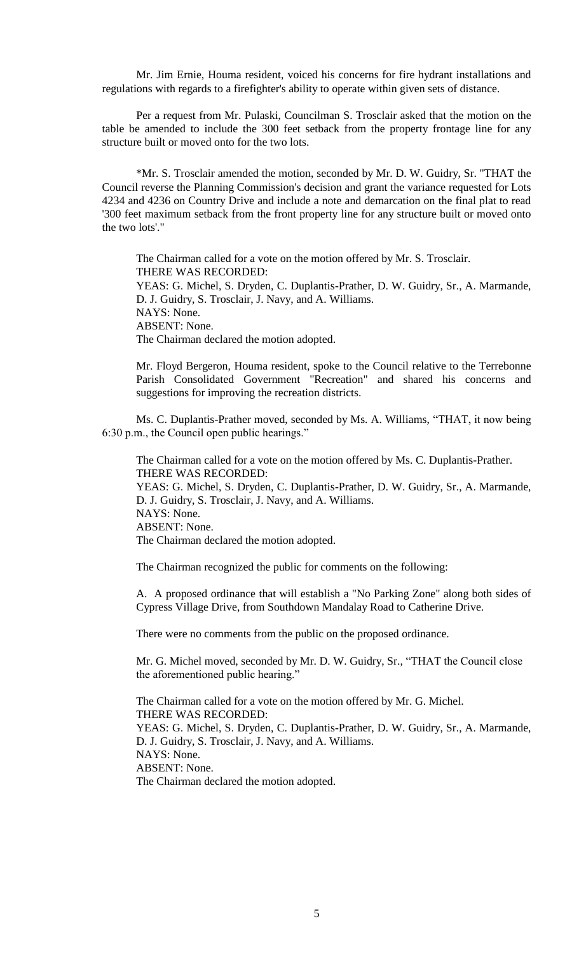Mr. Jim Ernie, Houma resident, voiced his concerns for fire hydrant installations and regulations with regards to a firefighter's ability to operate within given sets of distance.

Per a request from Mr. Pulaski, Councilman S. Trosclair asked that the motion on the table be amended to include the 300 feet setback from the property frontage line for any structure built or moved onto for the two lots.

\*Mr. S. Trosclair amended the motion, seconded by Mr. D. W. Guidry, Sr. "THAT the Council reverse the Planning Commission's decision and grant the variance requested for Lots 4234 and 4236 on Country Drive and include a note and demarcation on the final plat to read '300 feet maximum setback from the front property line for any structure built or moved onto the two lots'."

The Chairman called for a vote on the motion offered by Mr. S. Trosclair. THERE WAS RECORDED: YEAS: G. Michel, S. Dryden, C. Duplantis-Prather, D. W. Guidry, Sr., A. Marmande, D. J. Guidry, S. Trosclair, J. Navy, and A. Williams. NAYS: None. ABSENT: None. The Chairman declared the motion adopted.

Mr. Floyd Bergeron, Houma resident, spoke to the Council relative to the Terrebonne Parish Consolidated Government "Recreation" and shared his concerns and suggestions for improving the recreation districts.

Ms. C. Duplantis-Prather moved, seconded by Ms. A. Williams, "THAT, it now being 6:30 p.m., the Council open public hearings."

The Chairman called for a vote on the motion offered by Ms. C. Duplantis-Prather. THERE WAS RECORDED: YEAS: G. Michel, S. Dryden, C. Duplantis-Prather, D. W. Guidry, Sr., A. Marmande, D. J. Guidry, S. Trosclair, J. Navy, and A. Williams. NAYS: None. ABSENT: None. The Chairman declared the motion adopted.

The Chairman recognized the public for comments on the following:

A. A proposed ordinance that will establish a "No Parking Zone" along both sides of Cypress Village Drive, from Southdown Mandalay Road to Catherine Drive.

There were no comments from the public on the proposed ordinance.

Mr. G. Michel moved, seconded by Mr. D. W. Guidry, Sr., "THAT the Council close the aforementioned public hearing."

The Chairman called for a vote on the motion offered by Mr. G. Michel. THERE WAS RECORDED: YEAS: G. Michel, S. Dryden, C. Duplantis-Prather, D. W. Guidry, Sr., A. Marmande, D. J. Guidry, S. Trosclair, J. Navy, and A. Williams. NAYS: None. ABSENT: None. The Chairman declared the motion adopted.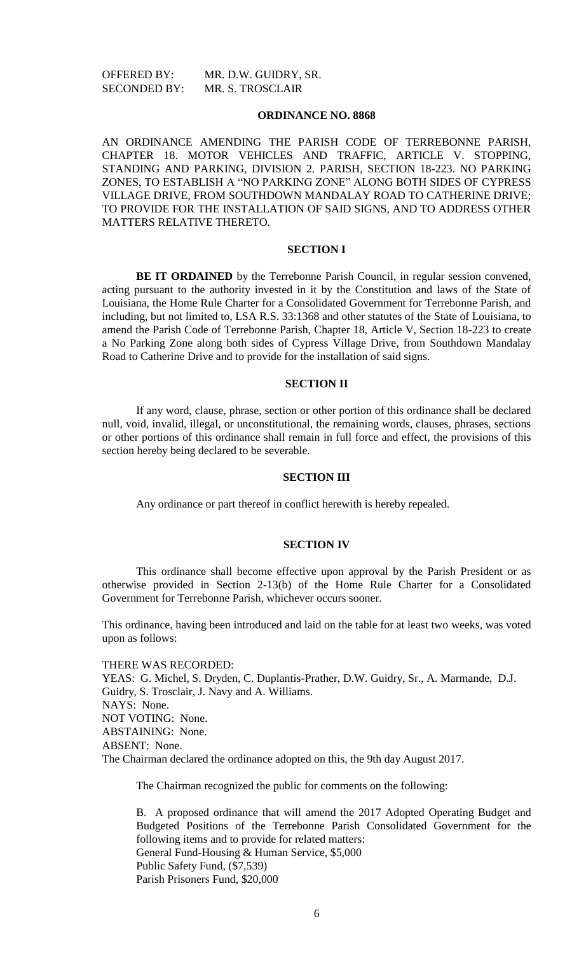#### **ORDINANCE NO. 8868**

AN ORDINANCE AMENDING THE PARISH CODE OF TERREBONNE PARISH, CHAPTER 18. MOTOR VEHICLES AND TRAFFIC, ARTICLE V. STOPPING, STANDING AND PARKING, DIVISION 2. PARISH, SECTION 18-223. NO PARKING ZONES, TO ESTABLISH A "NO PARKING ZONE" ALONG BOTH SIDES OF CYPRESS VILLAGE DRIVE, FROM SOUTHDOWN MANDALAY ROAD TO CATHERINE DRIVE; TO PROVIDE FOR THE INSTALLATION OF SAID SIGNS, AND TO ADDRESS OTHER MATTERS RELATIVE THERETO.

## **SECTION I**

**BE IT ORDAINED** by the Terrebonne Parish Council, in regular session convened, acting pursuant to the authority invested in it by the Constitution and laws of the State of Louisiana, the Home Rule Charter for a Consolidated Government for Terrebonne Parish, and including, but not limited to, LSA R.S. 33:1368 and other statutes of the State of Louisiana, to amend the Parish Code of Terrebonne Parish, Chapter 18, Article V, Section 18-223 to create a No Parking Zone along both sides of Cypress Village Drive, from Southdown Mandalay Road to Catherine Drive and to provide for the installation of said signs.

### **SECTION II**

If any word, clause, phrase, section or other portion of this ordinance shall be declared null, void, invalid, illegal, or unconstitutional, the remaining words, clauses, phrases, sections or other portions of this ordinance shall remain in full force and effect, the provisions of this section hereby being declared to be severable.

#### **SECTION III**

Any ordinance or part thereof in conflict herewith is hereby repealed.

## **SECTION IV**

This ordinance shall become effective upon approval by the Parish President or as otherwise provided in Section 2-13(b) of the Home Rule Charter for a Consolidated Government for Terrebonne Parish, whichever occurs sooner.

This ordinance, having been introduced and laid on the table for at least two weeks, was voted upon as follows:

THERE WAS RECORDED: YEAS: G. Michel, S. Dryden, C. Duplantis-Prather, D.W. Guidry, Sr., A. Marmande, D.J. Guidry, S. Trosclair, J. Navy and A. Williams. NAYS: None. NOT VOTING: None. ABSTAINING: None. ABSENT: None.

The Chairman declared the ordinance adopted on this, the 9th day August 2017.

The Chairman recognized the public for comments on the following:

B. A proposed ordinance that will amend the 2017 Adopted Operating Budget and Budgeted Positions of the Terrebonne Parish Consolidated Government for the following items and to provide for related matters: General Fund-Housing & Human Service, \$5,000 Public Safety Fund, (\$7,539) Parish Prisoners Fund, \$20,000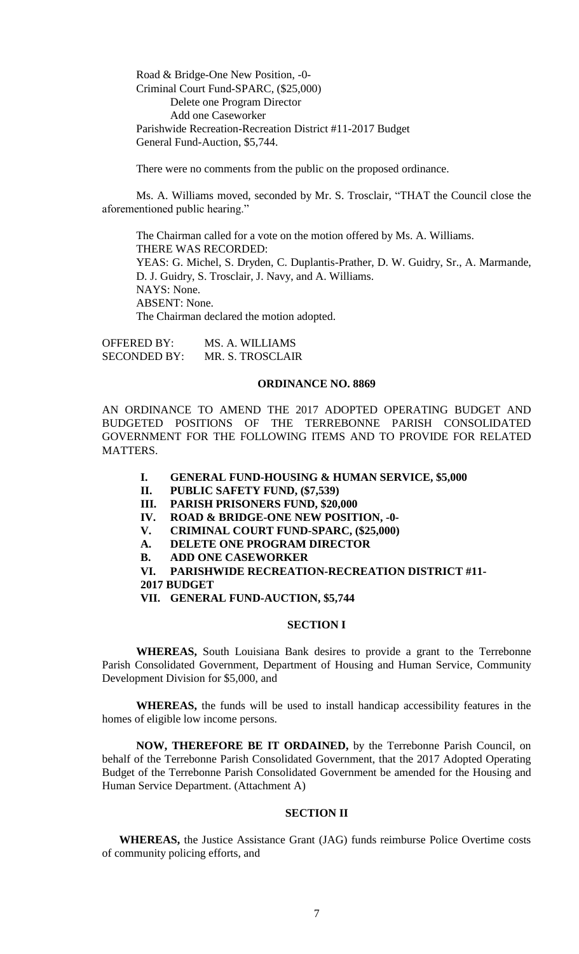Road & Bridge-One New Position, -0- Criminal Court Fund-SPARC, (\$25,000) Delete one Program Director Add one Caseworker Parishwide Recreation-Recreation District #11-2017 Budget General Fund-Auction, \$5,744.

There were no comments from the public on the proposed ordinance.

Ms. A. Williams moved, seconded by Mr. S. Trosclair, "THAT the Council close the aforementioned public hearing."

The Chairman called for a vote on the motion offered by Ms. A. Williams. THERE WAS RECORDED: YEAS: G. Michel, S. Dryden, C. Duplantis-Prather, D. W. Guidry, Sr., A. Marmande, D. J. Guidry, S. Trosclair, J. Navy, and A. Williams. NAYS: None. ABSENT: None. The Chairman declared the motion adopted.

OFFERED BY: MS. A. WILLIAMS SECONDED BY: MR. S. TROSCLAIR

#### **ORDINANCE NO. 8869**

AN ORDINANCE TO AMEND THE 2017 ADOPTED OPERATING BUDGET AND BUDGETED POSITIONS OF THE TERREBONNE PARISH CONSOLIDATED GOVERNMENT FOR THE FOLLOWING ITEMS AND TO PROVIDE FOR RELATED MATTERS.

- **I. GENERAL FUND-HOUSING & HUMAN SERVICE, \$5,000**
- **II. PUBLIC SAFETY FUND, (\$7,539)**
- **III. PARISH PRISONERS FUND, \$20,000**
- **IV. ROAD & BRIDGE-ONE NEW POSITION, -0-**
- **V. CRIMINAL COURT FUND-SPARC, (\$25,000)**
- **A. DELETE ONE PROGRAM DIRECTOR**
- **B. ADD ONE CASEWORKER**

**VI. PARISHWIDE RECREATION-RECREATION DISTRICT #11-**

**2017 BUDGET**

**VII. GENERAL FUND-AUCTION, \$5,744**

#### **SECTION I**

**WHEREAS,** South Louisiana Bank desires to provide a grant to the Terrebonne Parish Consolidated Government, Department of Housing and Human Service, Community Development Division for \$5,000, and

**WHEREAS,** the funds will be used to install handicap accessibility features in the homes of eligible low income persons.

**NOW, THEREFORE BE IT ORDAINED,** by the Terrebonne Parish Council, on behalf of the Terrebonne Parish Consolidated Government, that the 2017 Adopted Operating Budget of the Terrebonne Parish Consolidated Government be amended for the Housing and Human Service Department. (Attachment A)

## **SECTION II**

**WHEREAS,** the Justice Assistance Grant (JAG) funds reimburse Police Overtime costs of community policing efforts, and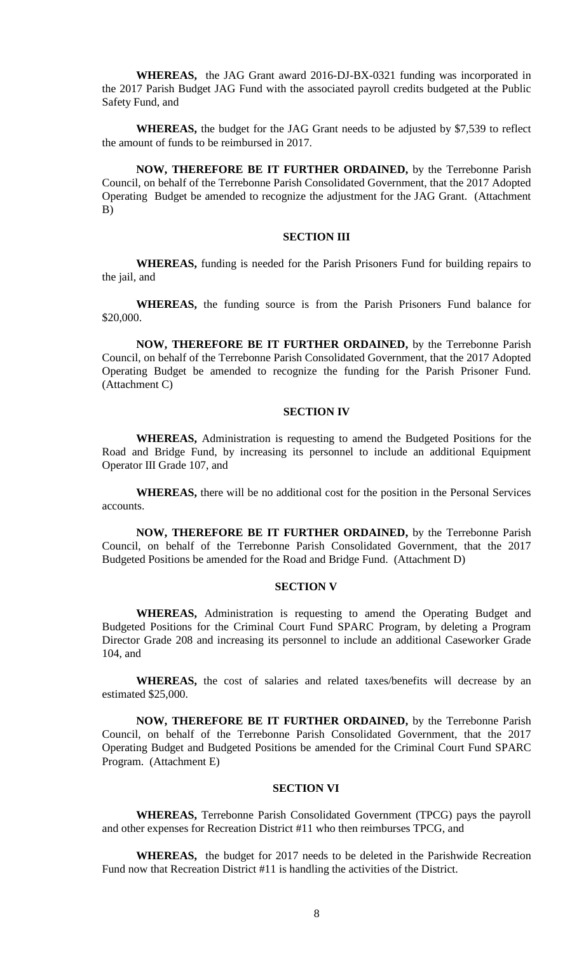**WHEREAS,** the JAG Grant award 2016-DJ-BX-0321 funding was incorporated in the 2017 Parish Budget JAG Fund with the associated payroll credits budgeted at the Public Safety Fund, and

**WHEREAS,** the budget for the JAG Grant needs to be adjusted by \$7,539 to reflect the amount of funds to be reimbursed in 2017.

**NOW, THEREFORE BE IT FURTHER ORDAINED,** by the Terrebonne Parish Council, on behalf of the Terrebonne Parish Consolidated Government, that the 2017 Adopted Operating Budget be amended to recognize the adjustment for the JAG Grant. (Attachment B)

## **SECTION III**

**WHEREAS,** funding is needed for the Parish Prisoners Fund for building repairs to the jail, and

**WHEREAS,** the funding source is from the Parish Prisoners Fund balance for \$20,000.

**NOW, THEREFORE BE IT FURTHER ORDAINED,** by the Terrebonne Parish Council, on behalf of the Terrebonne Parish Consolidated Government, that the 2017 Adopted Operating Budget be amended to recognize the funding for the Parish Prisoner Fund. (Attachment C)

#### **SECTION IV**

**WHEREAS,** Administration is requesting to amend the Budgeted Positions for the Road and Bridge Fund, by increasing its personnel to include an additional Equipment Operator III Grade 107, and

**WHEREAS,** there will be no additional cost for the position in the Personal Services accounts.

**NOW, THEREFORE BE IT FURTHER ORDAINED,** by the Terrebonne Parish Council, on behalf of the Terrebonne Parish Consolidated Government, that the 2017 Budgeted Positions be amended for the Road and Bridge Fund. (Attachment D)

### **SECTION V**

**WHEREAS,** Administration is requesting to amend the Operating Budget and Budgeted Positions for the Criminal Court Fund SPARC Program, by deleting a Program Director Grade 208 and increasing its personnel to include an additional Caseworker Grade 104, and

**WHEREAS,** the cost of salaries and related taxes/benefits will decrease by an estimated \$25,000.

**NOW, THEREFORE BE IT FURTHER ORDAINED,** by the Terrebonne Parish Council, on behalf of the Terrebonne Parish Consolidated Government, that the 2017 Operating Budget and Budgeted Positions be amended for the Criminal Court Fund SPARC Program. (Attachment E)

### **SECTION VI**

**WHEREAS,** Terrebonne Parish Consolidated Government (TPCG) pays the payroll and other expenses for Recreation District #11 who then reimburses TPCG, and

**WHEREAS,** the budget for 2017 needs to be deleted in the Parishwide Recreation Fund now that Recreation District #11 is handling the activities of the District.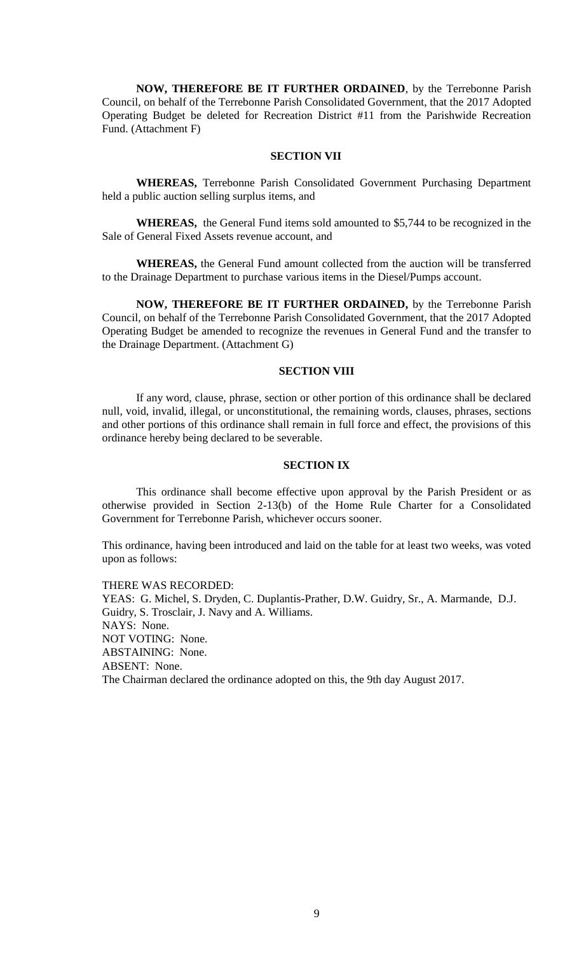**NOW, THEREFORE BE IT FURTHER ORDAINED**, by the Terrebonne Parish Council, on behalf of the Terrebonne Parish Consolidated Government, that the 2017 Adopted Operating Budget be deleted for Recreation District #11 from the Parishwide Recreation Fund. (Attachment F)

## **SECTION VII**

**WHEREAS,** Terrebonne Parish Consolidated Government Purchasing Department held a public auction selling surplus items, and

**WHEREAS,** the General Fund items sold amounted to \$5,744 to be recognized in the Sale of General Fixed Assets revenue account, and

**WHEREAS,** the General Fund amount collected from the auction will be transferred to the Drainage Department to purchase various items in the Diesel/Pumps account.

**NOW, THEREFORE BE IT FURTHER ORDAINED,** by the Terrebonne Parish Council, on behalf of the Terrebonne Parish Consolidated Government, that the 2017 Adopted Operating Budget be amended to recognize the revenues in General Fund and the transfer to the Drainage Department. (Attachment G)

#### **SECTION VIII**

If any word, clause, phrase, section or other portion of this ordinance shall be declared null, void, invalid, illegal, or unconstitutional, the remaining words, clauses, phrases, sections and other portions of this ordinance shall remain in full force and effect, the provisions of this ordinance hereby being declared to be severable.

## **SECTION IX**

This ordinance shall become effective upon approval by the Parish President or as otherwise provided in Section 2-13(b) of the Home Rule Charter for a Consolidated Government for Terrebonne Parish, whichever occurs sooner.

This ordinance, having been introduced and laid on the table for at least two weeks, was voted upon as follows:

THERE WAS RECORDED: YEAS: G. Michel, S. Dryden, C. Duplantis-Prather, D.W. Guidry, Sr., A. Marmande, D.J. Guidry, S. Trosclair, J. Navy and A. Williams. NAYS: None. NOT VOTING: None. ABSTAINING: None. ABSENT: None. The Chairman declared the ordinance adopted on this, the 9th day August 2017.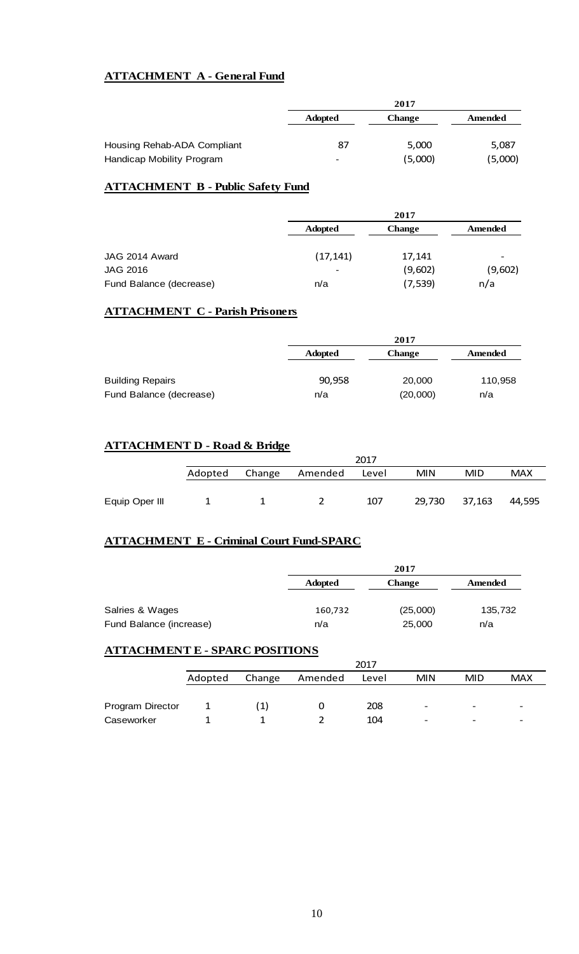## **ATTACHMENT A - General Fund**

|                             | 2017                     |         |         |  |
|-----------------------------|--------------------------|---------|---------|--|
|                             | <b>Adopted</b>           | Change  | Amended |  |
|                             |                          |         |         |  |
| Housing Rehab-ADA Compliant | 87                       | 5,000   | 5,087   |  |
| Handicap Mobility Program   | $\overline{\phantom{0}}$ | (5,000) | (5,000) |  |

## **ATTACHMENT B - Public Safety Fund**

|                         |                 | 2017          |                          |  |  |
|-------------------------|-----------------|---------------|--------------------------|--|--|
|                         | <b>Adopted</b>  | <b>Change</b> | <b>Amended</b>           |  |  |
| JAG 2014 Award          | (17, 141)       | 17,141        | $\overline{\phantom{0}}$ |  |  |
| <b>JAG 2016</b>         | $\qquad \qquad$ | (9,602)       | (9,602)                  |  |  |
| Fund Balance (decrease) | n/a             | (7, 539)      | n/a                      |  |  |

## **ATTACHMENT C - Parish Prisoners**

|                         | 2017           |          |         |  |
|-------------------------|----------------|----------|---------|--|
|                         | <b>Adopted</b> | Change   | Amended |  |
| <b>Building Repairs</b> | 90,958         | 20,000   | 110,958 |  |
| Fund Balance (decrease) | n/a            | (20,000) | n/a     |  |

## **ATTACHMENT D - Road & Bridge**

|                |         |        |         | 2017  |            |        |            |
|----------------|---------|--------|---------|-------|------------|--------|------------|
|                | Adopted | Change | Amended | Level | <b>MIN</b> | MID    | <b>MAX</b> |
|                |         |        |         |       |            |        |            |
| Equip Oper III |         |        |         | 107   | 29,730     | 37,163 | 44,595     |

## **ATTACHMENT E - Criminal Court Fund-SPARC**

|                         |                | 2017          |                |  |  |
|-------------------------|----------------|---------------|----------------|--|--|
|                         | <b>Adopted</b> | <b>Change</b> | <b>Amended</b> |  |  |
| Salries & Wages         | 160,732        | (25,000)      | 135,732        |  |  |
| Fund Balance (increase) | n/a            | 25,000        | n/a            |  |  |

## **ATTACHMENT E - SPARC POSITIONS**

|                  |         | 2017   |         |       |                          |                          |                          |
|------------------|---------|--------|---------|-------|--------------------------|--------------------------|--------------------------|
|                  | Adopted | Change | Amended | Level | <b>MIN</b>               | MID                      | <b>MAX</b>               |
|                  |         |        |         |       |                          |                          |                          |
| Program Director |         | 1)     |         | 208   | $\overline{\phantom{a}}$ | $\overline{\phantom{0}}$ | $\overline{\phantom{0}}$ |
| Caseworker       |         |        |         | 104   | $\overline{\phantom{a}}$ | $\overline{\phantom{0}}$ | $\overline{\phantom{0}}$ |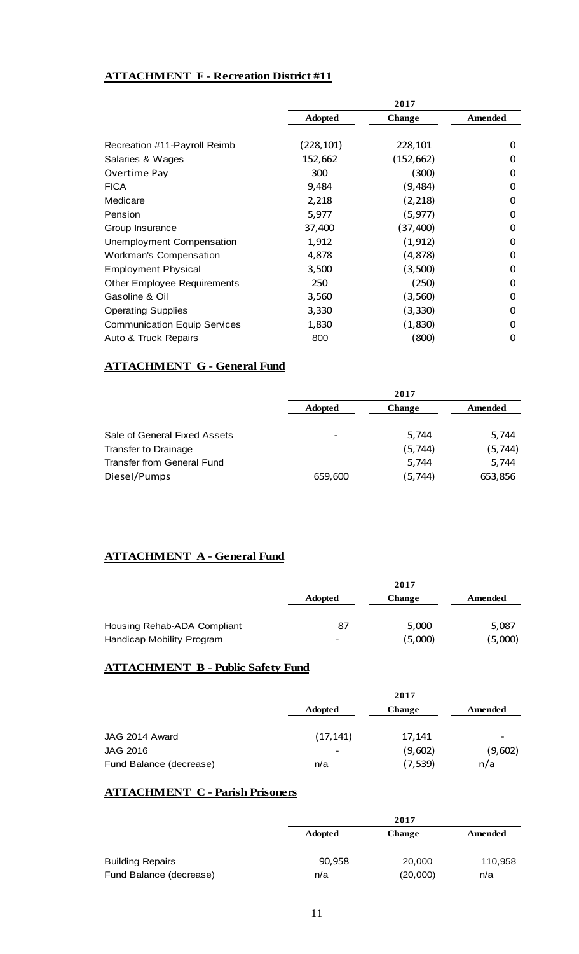## **ATTACHMENT F - Recreation District #11**

|                                     | 2017           |               |         |  |
|-------------------------------------|----------------|---------------|---------|--|
|                                     | <b>Adopted</b> | <b>Change</b> | Amended |  |
|                                     |                |               |         |  |
| Recreation #11-Payroll Reimb        | (228,101)      | 228,101       | 0       |  |
| Salaries & Wages                    | 152,662        | (152,662)     | 0       |  |
| Overtime Pay                        | 300            | (300)         | 0       |  |
| <b>FICA</b>                         | 9,484          | (9, 484)      | 0       |  |
| Medicare                            | 2,218          | (2, 218)      | 0       |  |
| Pension                             | 5,977          | (5, 977)      | 0       |  |
| Group Insurance                     | 37,400         | (37, 400)     | 0       |  |
| Unemployment Compensation           | 1,912          | (1, 912)      | 0       |  |
| Workman's Compensation              | 4,878          | (4,878)       | 0       |  |
| <b>Employment Physical</b>          | 3,500          | (3,500)       | 0       |  |
| <b>Other Employee Requirements</b>  | 250            | (250)         | 0       |  |
| Gasoline & Oil                      | 3,560          | (3,560)       | 0       |  |
| <b>Operating Supplies</b>           | 3,330          | (3, 330)      | 0       |  |
| <b>Communication Equip Services</b> | 1,830          | (1,830)       | 0       |  |
| Auto & Truck Repairs                | 800            | (800)         | 0       |  |

## **ATTACHMENT G - General Fund**

|                              | 2017                                       |         |          |  |
|------------------------------|--------------------------------------------|---------|----------|--|
|                              | <b>Adopted</b><br>Amended<br><b>Change</b> |         |          |  |
|                              |                                            |         |          |  |
| Sale of General Fixed Assets | $\overline{\phantom{a}}$                   | 5,744   | 5,744    |  |
| Transfer to Drainage         |                                            | (5,744) | (5, 744) |  |
| Transfer from General Fund   |                                            | 5,744   | 5,744    |  |
| Diesel/Pumps                 | 659,600                                    | (5,744) | 653,856  |  |

# **ATTACHMENT A - General Fund**

|                             | 2017                     |               |         |  |
|-----------------------------|--------------------------|---------------|---------|--|
|                             | <b>Adopted</b>           | <b>Change</b> | Amended |  |
|                             |                          |               |         |  |
| Housing Rehab-ADA Compliant | 87                       | 5,000         | 5,087   |  |
| Handicap Mobility Program   | $\overline{\phantom{0}}$ | (5,000)       | (5,000) |  |

## **ATTACHMENT B - Public Safety Fund**

|                         |                | 2017          |         |
|-------------------------|----------------|---------------|---------|
|                         | <b>Adopted</b> | <b>Change</b> | Amended |
|                         |                |               |         |
| JAG 2014 Award          | (17, 141)      | 17,141        |         |
| <b>JAG 2016</b>         | $\,$           | (9,602)       | (9,602) |
| Fund Balance (decrease) | n/a            | (7, 539)      | n/a     |

## **ATTACHMENT C - Parish Prisoners**

|                         | 2017           |          |         |
|-------------------------|----------------|----------|---------|
|                         | <b>Adopted</b> | Change   | Amended |
|                         |                |          |         |
| <b>Building Repairs</b> | 90,958         | 20,000   | 110,958 |
| Fund Balance (decrease) | n/a            | (20,000) | n/a     |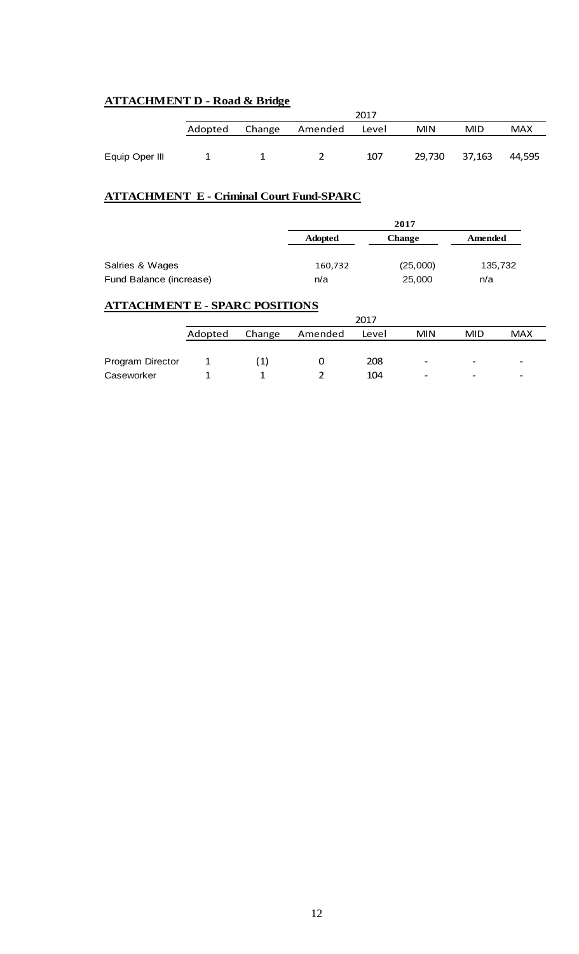## **ATTACHMENT D - Road & Bridge**

|                |         |        |               | 2017 |            |        |            |
|----------------|---------|--------|---------------|------|------------|--------|------------|
|                | Adopted | Change | Amended Level |      | <b>MIN</b> | MID.   | <b>MAX</b> |
|                |         |        |               |      |            |        |            |
| Equip Oper III |         |        |               | 107  | 29,730     | 37,163 | 44.595     |

## **ATTACHMENT E - Criminal Court Fund-SPARC**

|                         |                | 2017          |         |  |
|-------------------------|----------------|---------------|---------|--|
|                         | <b>Adopted</b> | <b>Change</b> | Amended |  |
|                         |                |               |         |  |
| Salries & Wages         | 160,732        | (25,000)      | 135,732 |  |
| Fund Balance (increase) | n/a            | 25,000        | n/a     |  |

## **ATTACHMENT E - SPARC POSITIONS**

|                  |         | 2017   |         |       |                          |                          |            |
|------------------|---------|--------|---------|-------|--------------------------|--------------------------|------------|
|                  | Adopted | Change | Amended | Level | <b>MIN</b>               | <b>MID</b>               | <b>MAX</b> |
|                  |         |        |         |       |                          |                          |            |
| Program Director |         | [1]    |         | 208   | $\overline{\phantom{0}}$ | -                        |            |
| Caseworker       |         |        |         | 104   | $\overline{\phantom{a}}$ | $\overline{\phantom{0}}$ |            |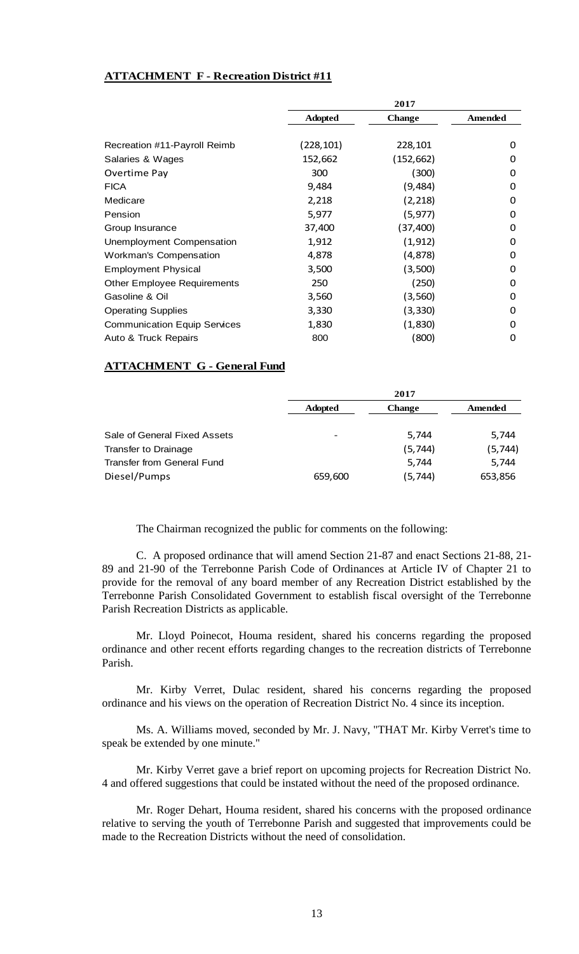## **ATTACHMENT F - Recreation District #11**

|                                     |                | 2017          |         |
|-------------------------------------|----------------|---------------|---------|
|                                     | <b>Adopted</b> | <b>Change</b> | Amended |
|                                     |                |               |         |
| Recreation #11-Payroll Reimb        | (228,101)      | 228,101       | 0       |
| Salaries & Wages                    | 152,662        | (152, 662)    | 0       |
| Overtime Pay                        | 300            | (300)         | 0       |
| <b>FICA</b>                         | 9,484          | (9,484)       | 0       |
| Medicare                            | 2,218          | (2, 218)      | 0       |
| Pension                             | 5,977          | (5, 977)      | 0       |
| Group Insurance                     | 37,400         | (37, 400)     | 0       |
| Unemployment Compensation           | 1,912          | (1, 912)      | 0       |
| Workman's Compensation              | 4,878          | (4,878)       | 0       |
| <b>Employment Physical</b>          | 3,500          | (3,500)       | 0       |
| <b>Other Employee Requirements</b>  | 250            | (250)         | 0       |
| Gasoline & Oil                      | 3,560          | (3,560)       | 0       |
| <b>Operating Supplies</b>           | 3,330          | (3, 330)      | 0       |
| <b>Communication Equip Services</b> | 1,830          | (1,830)       | 0       |
| Auto & Truck Repairs                | 800            | (800)         | 0       |

## **ATTACHMENT G - General Fund**

|                              | 2017           |               |         |
|------------------------------|----------------|---------------|---------|
|                              | <b>Adopted</b> | <b>Change</b> | Amended |
|                              |                |               |         |
| Sale of General Fixed Assets |                | 5,744         | 5,744   |
| <b>Transfer to Drainage</b>  |                | (5,744)       | (5,744) |
| Transfer from General Fund   |                | 5,744         | 5,744   |
| Diesel/Pumps                 | 659,600        | (5, 744)      | 653,856 |

The Chairman recognized the public for comments on the following:

C. A proposed ordinance that will amend Section 21-87 and enact Sections 21-88, 21- 89 and 21-90 of the Terrebonne Parish Code of Ordinances at Article IV of Chapter 21 to provide for the removal of any board member of any Recreation District established by the Terrebonne Parish Consolidated Government to establish fiscal oversight of the Terrebonne Parish Recreation Districts as applicable.

Mr. Lloyd Poinecot, Houma resident, shared his concerns regarding the proposed ordinance and other recent efforts regarding changes to the recreation districts of Terrebonne Parish.

Mr. Kirby Verret, Dulac resident, shared his concerns regarding the proposed ordinance and his views on the operation of Recreation District No. 4 since its inception.

Ms. A. Williams moved, seconded by Mr. J. Navy, "THAT Mr. Kirby Verret's time to speak be extended by one minute."

Mr. Kirby Verret gave a brief report on upcoming projects for Recreation District No. 4 and offered suggestions that could be instated without the need of the proposed ordinance.

Mr. Roger Dehart, Houma resident, shared his concerns with the proposed ordinance relative to serving the youth of Terrebonne Parish and suggested that improvements could be made to the Recreation Districts without the need of consolidation.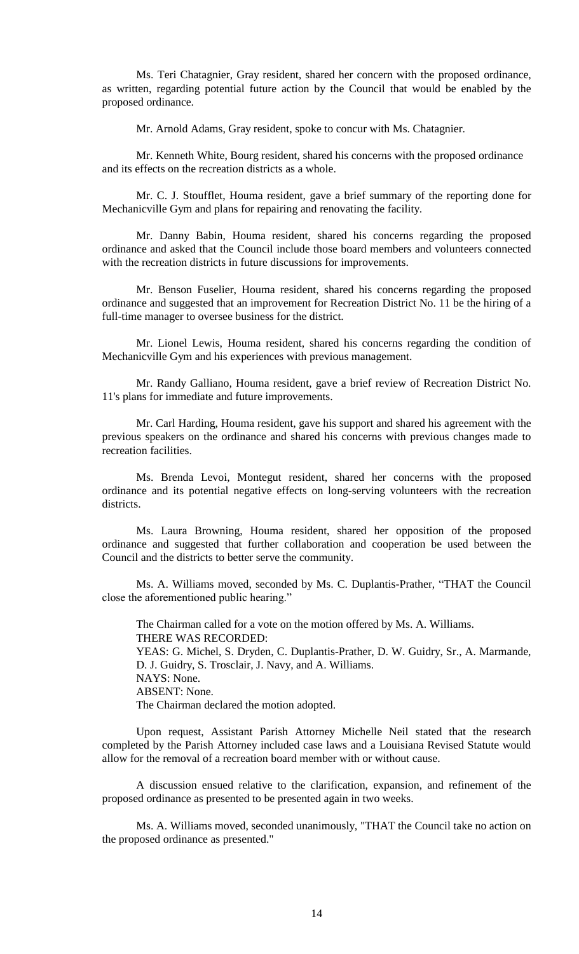Ms. Teri Chatagnier, Gray resident, shared her concern with the proposed ordinance, as written, regarding potential future action by the Council that would be enabled by the proposed ordinance.

Mr. Arnold Adams, Gray resident, spoke to concur with Ms. Chatagnier.

Mr. Kenneth White, Bourg resident, shared his concerns with the proposed ordinance and its effects on the recreation districts as a whole.

Mr. C. J. Stoufflet, Houma resident, gave a brief summary of the reporting done for Mechanicville Gym and plans for repairing and renovating the facility.

Mr. Danny Babin, Houma resident, shared his concerns regarding the proposed ordinance and asked that the Council include those board members and volunteers connected with the recreation districts in future discussions for improvements.

Mr. Benson Fuselier, Houma resident, shared his concerns regarding the proposed ordinance and suggested that an improvement for Recreation District No. 11 be the hiring of a full-time manager to oversee business for the district.

Mr. Lionel Lewis, Houma resident, shared his concerns regarding the condition of Mechanicville Gym and his experiences with previous management.

Mr. Randy Galliano, Houma resident, gave a brief review of Recreation District No. 11's plans for immediate and future improvements.

Mr. Carl Harding, Houma resident, gave his support and shared his agreement with the previous speakers on the ordinance and shared his concerns with previous changes made to recreation facilities.

Ms. Brenda Levoi, Montegut resident, shared her concerns with the proposed ordinance and its potential negative effects on long-serving volunteers with the recreation districts.

Ms. Laura Browning, Houma resident, shared her opposition of the proposed ordinance and suggested that further collaboration and cooperation be used between the Council and the districts to better serve the community.

Ms. A. Williams moved, seconded by Ms. C. Duplantis-Prather, "THAT the Council close the aforementioned public hearing."

The Chairman called for a vote on the motion offered by Ms. A. Williams. THERE WAS RECORDED: YEAS: G. Michel, S. Dryden, C. Duplantis-Prather, D. W. Guidry, Sr., A. Marmande, D. J. Guidry, S. Trosclair, J. Navy, and A. Williams. NAYS: None. ABSENT: None. The Chairman declared the motion adopted.

Upon request, Assistant Parish Attorney Michelle Neil stated that the research completed by the Parish Attorney included case laws and a Louisiana Revised Statute would allow for the removal of a recreation board member with or without cause.

A discussion ensued relative to the clarification, expansion, and refinement of the proposed ordinance as presented to be presented again in two weeks.

Ms. A. Williams moved, seconded unanimously, "THAT the Council take no action on the proposed ordinance as presented."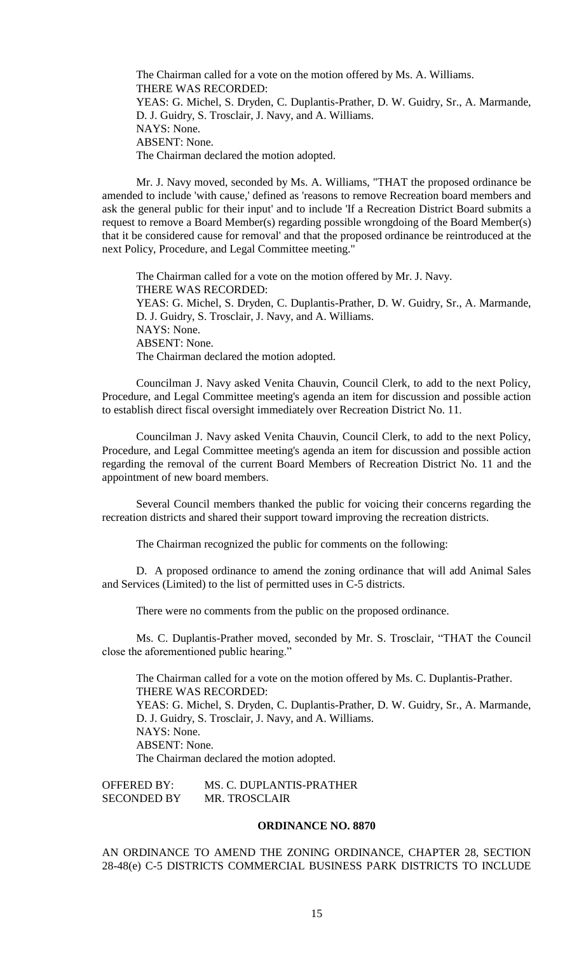The Chairman called for a vote on the motion offered by Ms. A. Williams. THERE WAS RECORDED: YEAS: G. Michel, S. Dryden, C. Duplantis-Prather, D. W. Guidry, Sr., A. Marmande, D. J. Guidry, S. Trosclair, J. Navy, and A. Williams. NAYS: None. ABSENT: None. The Chairman declared the motion adopted.

Mr. J. Navy moved, seconded by Ms. A. Williams, "THAT the proposed ordinance be amended to include 'with cause,' defined as 'reasons to remove Recreation board members and ask the general public for their input' and to include 'If a Recreation District Board submits a request to remove a Board Member(s) regarding possible wrongdoing of the Board Member(s) that it be considered cause for removal' and that the proposed ordinance be reintroduced at the next Policy, Procedure, and Legal Committee meeting."

The Chairman called for a vote on the motion offered by Mr. J. Navy. THERE WAS RECORDED: YEAS: G. Michel, S. Dryden, C. Duplantis-Prather, D. W. Guidry, Sr., A. Marmande, D. J. Guidry, S. Trosclair, J. Navy, and A. Williams. NAYS: None. ABSENT: None. The Chairman declared the motion adopted.

Councilman J. Navy asked Venita Chauvin, Council Clerk, to add to the next Policy, Procedure, and Legal Committee meeting's agenda an item for discussion and possible action to establish direct fiscal oversight immediately over Recreation District No. 11.

Councilman J. Navy asked Venita Chauvin, Council Clerk, to add to the next Policy, Procedure, and Legal Committee meeting's agenda an item for discussion and possible action regarding the removal of the current Board Members of Recreation District No. 11 and the appointment of new board members.

Several Council members thanked the public for voicing their concerns regarding the recreation districts and shared their support toward improving the recreation districts.

The Chairman recognized the public for comments on the following:

D. A proposed ordinance to amend the zoning ordinance that will add Animal Sales and Services (Limited) to the list of permitted uses in C-5 districts.

There were no comments from the public on the proposed ordinance.

Ms. C. Duplantis-Prather moved, seconded by Mr. S. Trosclair, "THAT the Council close the aforementioned public hearing."

The Chairman called for a vote on the motion offered by Ms. C. Duplantis-Prather. THERE WAS RECORDED: YEAS: G. Michel, S. Dryden, C. Duplantis-Prather, D. W. Guidry, Sr., A. Marmande, D. J. Guidry, S. Trosclair, J. Navy, and A. Williams. NAYS: None. ABSENT: None. The Chairman declared the motion adopted.

OFFERED BY: MS. C. DUPLANTIS-PRATHER SECONDED BY MR. TROSCLAIR

## **ORDINANCE NO. 8870**

AN ORDINANCE TO AMEND THE ZONING ORDINANCE, CHAPTER 28, SECTION 28-48(e) C-5 DISTRICTS COMMERCIAL BUSINESS PARK DISTRICTS TO INCLUDE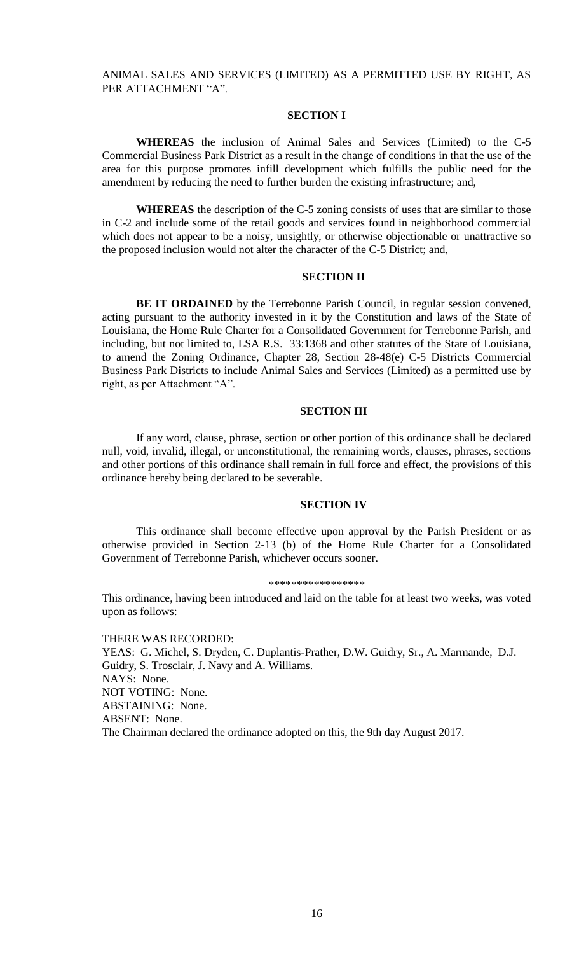## ANIMAL SALES AND SERVICES (LIMITED) AS A PERMITTED USE BY RIGHT, AS PER ATTACHMENT "A".

## **SECTION I**

**WHEREAS** the inclusion of Animal Sales and Services (Limited) to the C-5 Commercial Business Park District as a result in the change of conditions in that the use of the area for this purpose promotes infill development which fulfills the public need for the amendment by reducing the need to further burden the existing infrastructure; and,

**WHEREAS** the description of the C-5 zoning consists of uses that are similar to those in C-2 and include some of the retail goods and services found in neighborhood commercial which does not appear to be a noisy, unsightly, or otherwise objectionable or unattractive so the proposed inclusion would not alter the character of the C-5 District; and,

## **SECTION II**

**BE IT ORDAINED** by the Terrebonne Parish Council, in regular session convened, acting pursuant to the authority invested in it by the Constitution and laws of the State of Louisiana, the Home Rule Charter for a Consolidated Government for Terrebonne Parish, and including, but not limited to, LSA R.S. 33:1368 and other statutes of the State of Louisiana, to amend the Zoning Ordinance, Chapter 28, Section 28-48(e) C-5 Districts Commercial Business Park Districts to include Animal Sales and Services (Limited) as a permitted use by right, as per Attachment "A".

### **SECTION III**

If any word, clause, phrase, section or other portion of this ordinance shall be declared null, void, invalid, illegal, or unconstitutional, the remaining words, clauses, phrases, sections and other portions of this ordinance shall remain in full force and effect, the provisions of this ordinance hereby being declared to be severable.

### **SECTION IV**

This ordinance shall become effective upon approval by the Parish President or as otherwise provided in Section 2-13 (b) of the Home Rule Charter for a Consolidated Government of Terrebonne Parish, whichever occurs sooner.

#### \*\*\*\*\*\*\*\*\*\*\*\*\*\*\*\*\*

This ordinance, having been introduced and laid on the table for at least two weeks, was voted upon as follows:

THERE WAS RECORDED: YEAS: G. Michel, S. Dryden, C. Duplantis-Prather, D.W. Guidry, Sr., A. Marmande, D.J. Guidry, S. Trosclair, J. Navy and A. Williams. NAYS: None. NOT VOTING: None. ABSTAINING: None. ABSENT: None. The Chairman declared the ordinance adopted on this, the 9th day August 2017.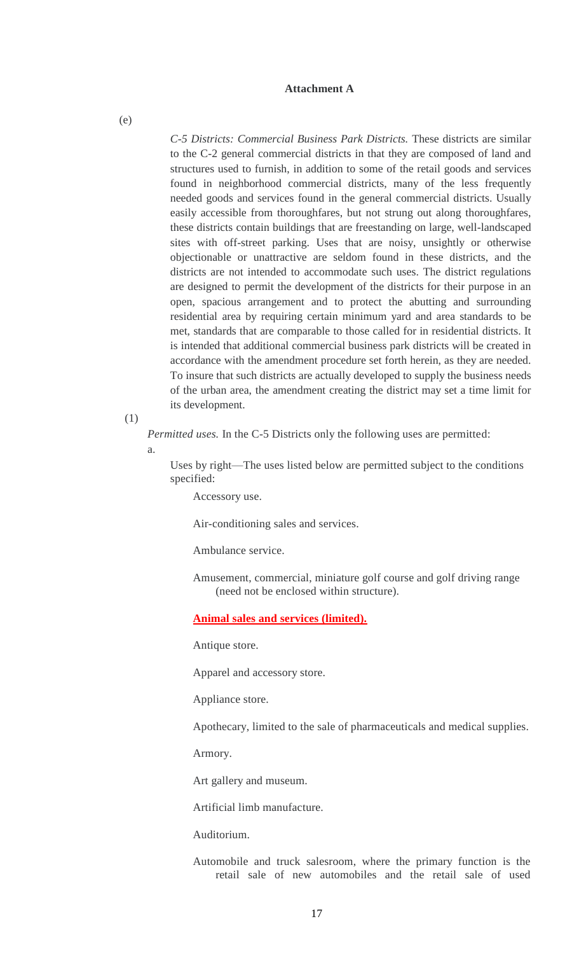### **Attachment A**

*C-5 Districts: Commercial Business Park Districts.* These districts are similar to the C-2 general commercial districts in that they are composed of land and structures used to furnish, in addition to some of the retail goods and services found in neighborhood commercial districts, many of the less frequently needed goods and services found in the general commercial districts. Usually easily accessible from thoroughfares, but not strung out along thoroughfares, these districts contain buildings that are freestanding on large, well-landscaped sites with off-street parking. Uses that are noisy, unsightly or otherwise objectionable or unattractive are seldom found in these districts, and the districts are not intended to accommodate such uses. The district regulations are designed to permit the development of the districts for their purpose in an open, spacious arrangement and to protect the abutting and surrounding residential area by requiring certain minimum yard and area standards to be met, standards that are comparable to those called for in residential districts. It is intended that additional commercial business park districts will be created in accordance with the amendment procedure set forth herein, as they are needed. To insure that such districts are actually developed to supply the business needs of the urban area, the amendment creating the district may set a time limit for its development.

(1)

*Permitted uses.* In the C-5 Districts only the following uses are permitted:

a.

Uses by right—The uses listed below are permitted subject to the conditions specified:

Accessory use.

Air-conditioning sales and services.

Ambulance service.

Amusement, commercial, miniature golf course and golf driving range (need not be enclosed within structure).

**Animal sales and services (limited).**

Antique store.

Apparel and accessory store.

Appliance store.

Apothecary, limited to the sale of pharmaceuticals and medical supplies.

Armory.

Art gallery and museum.

Artificial limb manufacture.

Auditorium.

Automobile and truck salesroom, where the primary function is the retail sale of new automobiles and the retail sale of used

(e)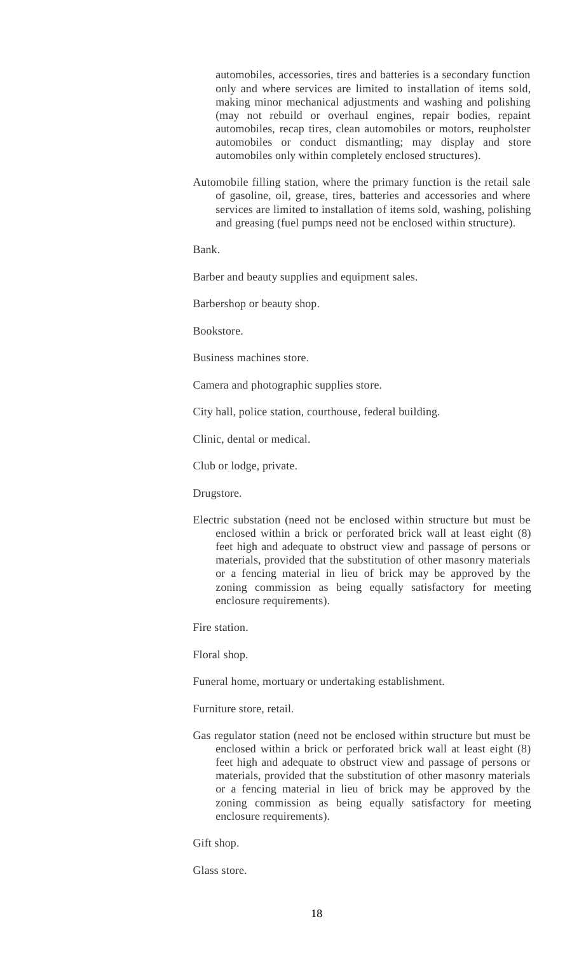automobiles, accessories, tires and batteries is a secondary function only and where services are limited to installation of items sold, making minor mechanical adjustments and washing and polishing (may not rebuild or overhaul engines, repair bodies, repaint automobiles, recap tires, clean automobiles or motors, reupholster automobiles or conduct dismantling; may display and store automobiles only within completely enclosed structures).

Automobile filling station, where the primary function is the retail sale of gasoline, oil, grease, tires, batteries and accessories and where services are limited to installation of items sold, washing, polishing and greasing (fuel pumps need not be enclosed within structure).

Bank.

Barber and beauty supplies and equipment sales.

Barbershop or beauty shop.

Bookstore.

Business machines store.

Camera and photographic supplies store.

City hall, police station, courthouse, federal building.

Clinic, dental or medical.

Club or lodge, private.

Drugstore.

Electric substation (need not be enclosed within structure but must be enclosed within a brick or perforated brick wall at least eight (8) feet high and adequate to obstruct view and passage of persons or materials, provided that the substitution of other masonry materials or a fencing material in lieu of brick may be approved by the zoning commission as being equally satisfactory for meeting enclosure requirements).

Fire station.

Floral shop.

Funeral home, mortuary or undertaking establishment.

Furniture store, retail.

Gas regulator station (need not be enclosed within structure but must be enclosed within a brick or perforated brick wall at least eight (8) feet high and adequate to obstruct view and passage of persons or materials, provided that the substitution of other masonry materials or a fencing material in lieu of brick may be approved by the zoning commission as being equally satisfactory for meeting enclosure requirements).

Gift shop.

Glass store.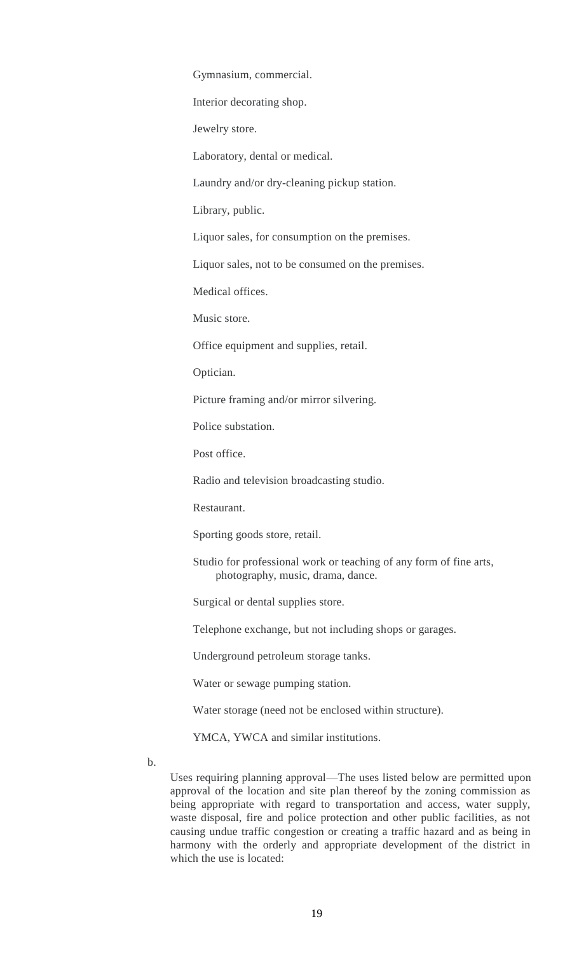Gymnasium, commercial.

Interior decorating shop.

Jewelry store.

Laboratory, dental or medical.

Laundry and/or dry-cleaning pickup station.

Library, public.

Liquor sales, for consumption on the premises.

Liquor sales, not to be consumed on the premises.

Medical offices.

Music store.

Office equipment and supplies, retail.

Optician.

Picture framing and/or mirror silvering.

Police substation.

Post office.

Radio and television broadcasting studio.

Restaurant.

Sporting goods store, retail.

Studio for professional work or teaching of any form of fine arts, photography, music, drama, dance.

Surgical or dental supplies store.

Telephone exchange, but not including shops or garages.

Underground petroleum storage tanks.

Water or sewage pumping station.

Water storage (need not be enclosed within structure).

YMCA, YWCA and similar institutions.

b.

Uses requiring planning approval—The uses listed below are permitted upon approval of the location and site plan thereof by the zoning commission as being appropriate with regard to transportation and access, water supply, waste disposal, fire and police protection and other public facilities, as not causing undue traffic congestion or creating a traffic hazard and as being in harmony with the orderly and appropriate development of the district in which the use is located: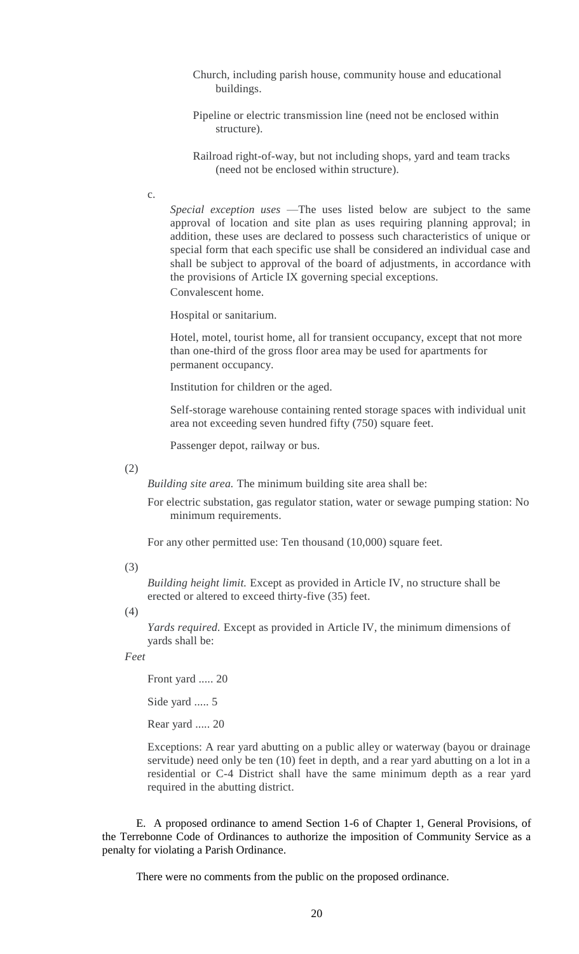- Church, including parish house, community house and educational buildings.
- Pipeline or electric transmission line (need not be enclosed within structure).
- Railroad right-of-way, but not including shops, yard and team tracks (need not be enclosed within structure).
- c.

*Special exception uses* —The uses listed below are subject to the same approval of location and site plan as uses requiring planning approval; in addition, these uses are declared to possess such characteristics of unique or special form that each specific use shall be considered an individual case and shall be subject to approval of the board of adjustments, in accordance with the provisions of Article IX governing special exceptions. Convalescent home.

Hospital or sanitarium.

Hotel, motel, tourist home, all for transient occupancy, except that not more than one-third of the gross floor area may be used for apartments for permanent occupancy.

Institution for children or the aged.

Self-storage warehouse containing rented storage spaces with individual unit area not exceeding seven hundred fifty (750) square feet.

Passenger depot, railway or bus.

(2)

*Building site area.* The minimum building site area shall be:

For electric substation, gas regulator station, water or sewage pumping station: No minimum requirements.

For any other permitted use: Ten thousand (10,000) square feet.

(3)

*Building height limit.* Except as provided in Article IV, no structure shall be erected or altered to exceed thirty-five (35) feet.

(4)

*Yards required.* Except as provided in Article IV, the minimum dimensions of yards shall be:

*Feet*

Front yard ..... 20

Side yard ..... 5

Rear yard ..... 20

Exceptions: A rear yard abutting on a public alley or waterway (bayou or drainage servitude) need only be ten (10) feet in depth, and a rear yard abutting on a lot in a residential or C-4 District shall have the same minimum depth as a rear yard required in the abutting district.

E. A proposed ordinance to amend Section 1-6 of Chapter 1, General Provisions, of the Terrebonne Code of Ordinances to authorize the imposition of Community Service as a penalty for violating a Parish Ordinance.

There were no comments from the public on the proposed ordinance.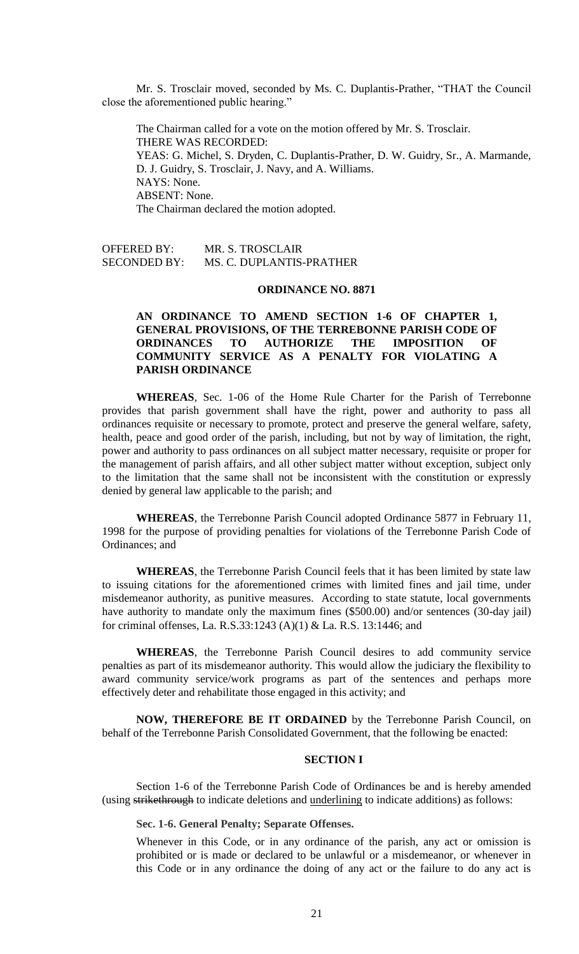Mr. S. Trosclair moved, seconded by Ms. C. Duplantis-Prather, "THAT the Council close the aforementioned public hearing."

The Chairman called for a vote on the motion offered by Mr. S. Trosclair. THERE WAS RECORDED: YEAS: G. Michel, S. Dryden, C. Duplantis-Prather, D. W. Guidry, Sr., A. Marmande, D. J. Guidry, S. Trosclair, J. Navy, and A. Williams. NAYS: None. ABSENT: None. The Chairman declared the motion adopted.

OFFERED BY: MR. S. TROSCLAIR<br>SECONDED BY: MS. C. DUPLANTIS-MS. C. DUPLANTIS-PRATHER

## **ORDINANCE NO. 8871**

## **AN ORDINANCE TO AMEND SECTION 1-6 OF CHAPTER 1, GENERAL PROVISIONS, OF THE TERREBONNE PARISH CODE OF ORDINANCES TO AUTHORIZE THE IMPOSITION OF COMMUNITY SERVICE AS A PENALTY FOR VIOLATING A PARISH ORDINANCE**

**WHEREAS**, Sec. 1-06 of the Home Rule Charter for the Parish of Terrebonne provides that parish government shall have the right, power and authority to pass all ordinances requisite or necessary to promote, protect and preserve the general welfare, safety, health, peace and good order of the parish, including, but not by way of limitation, the right, power and authority to pass ordinances on all subject matter necessary, requisite or proper for the management of parish affairs, and all other subject matter without exception, subject only to the limitation that the same shall not be inconsistent with the constitution or expressly denied by general law applicable to the parish; and

**WHEREAS**, the Terrebonne Parish Council adopted Ordinance 5877 in February 11, 1998 for the purpose of providing penalties for violations of the Terrebonne Parish Code of Ordinances; and

**WHEREAS**, the Terrebonne Parish Council feels that it has been limited by state law to issuing citations for the aforementioned crimes with limited fines and jail time, under misdemeanor authority, as punitive measures. According to state statute, local governments have authority to mandate only the maximum fines (\$500.00) and/or sentences (30-day jail) for criminal offenses, La. R.S.33:1243 (A)(1) & La. R.S. 13:1446; and

**WHEREAS**, the Terrebonne Parish Council desires to add community service penalties as part of its misdemeanor authority. This would allow the judiciary the flexibility to award community service/work programs as part of the sentences and perhaps more effectively deter and rehabilitate those engaged in this activity; and

**NOW, THEREFORE BE IT ORDAINED** by the Terrebonne Parish Council, on behalf of the Terrebonne Parish Consolidated Government, that the following be enacted:

#### **SECTION I**

Section 1-6 of the Terrebonne Parish Code of Ordinances be and is hereby amended (using strikethrough to indicate deletions and underlining to indicate additions) as follows:

**Sec. 1-6. General Penalty; Separate Offenses.**

Whenever in this Code, or in any ordinance of the parish, any act or omission is prohibited or is made or declared to be unlawful or a misdemeanor, or whenever in this Code or in any ordinance the doing of any act or the failure to do any act is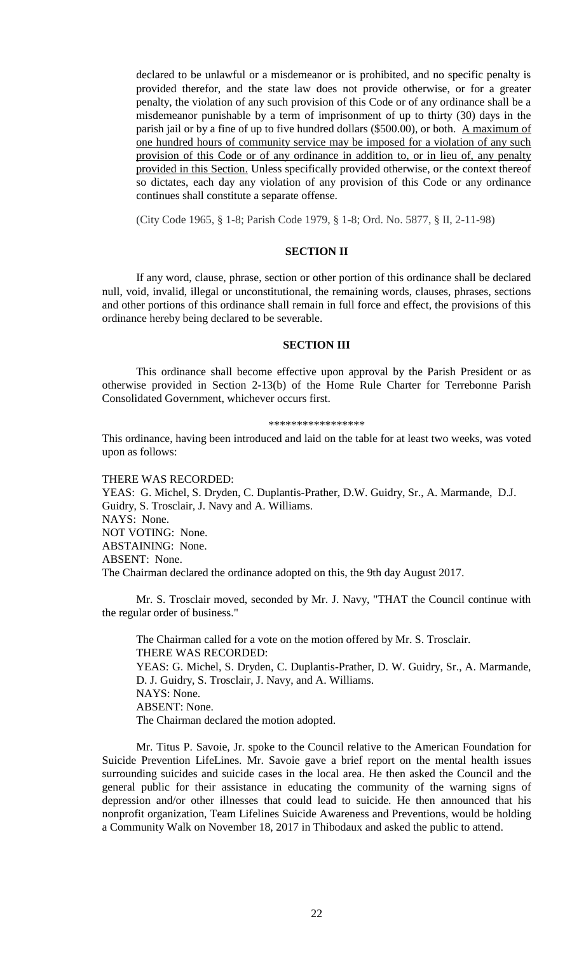declared to be unlawful or a misdemeanor or is prohibited, and no specific penalty is provided therefor, and the state law does not provide otherwise, or for a greater penalty, the violation of any such provision of this Code or of any ordinance shall be a misdemeanor punishable by a term of imprisonment of up to thirty (30) days in the parish jail or by a fine of up to five hundred dollars (\$500.00), or both. A maximum of one hundred hours of community service may be imposed for a violation of any such provision of this Code or of any ordinance in addition to, or in lieu of, any penalty provided in this Section. Unless specifically provided otherwise, or the context thereof so dictates, each day any violation of any provision of this Code or any ordinance continues shall constitute a separate offense.

(City Code 1965, § 1-8; Parish Code 1979, § 1-8; Ord. No. 5877, § II, 2-11-98)

#### **SECTION II**

If any word, clause, phrase, section or other portion of this ordinance shall be declared null, void, invalid, illegal or unconstitutional, the remaining words, clauses, phrases, sections and other portions of this ordinance shall remain in full force and effect, the provisions of this ordinance hereby being declared to be severable.

#### **SECTION III**

This ordinance shall become effective upon approval by the Parish President or as otherwise provided in Section 2-13(b) of the Home Rule Charter for Terrebonne Parish Consolidated Government, whichever occurs first.

#### \*\*\*\*\*\*\*\*\*\*\*\*\*\*\*\*\*

This ordinance, having been introduced and laid on the table for at least two weeks, was voted upon as follows:

#### THERE WAS RECORDED:

YEAS: G. Michel, S. Dryden, C. Duplantis-Prather, D.W. Guidry, Sr., A. Marmande, D.J. Guidry, S. Trosclair, J. Navy and A. Williams. NAYS: None. NOT VOTING: None. ABSTAINING: None. ABSENT: None. The Chairman declared the ordinance adopted on this, the 9th day August 2017.

Mr. S. Trosclair moved, seconded by Mr. J. Navy, "THAT the Council continue with the regular order of business."

The Chairman called for a vote on the motion offered by Mr. S. Trosclair. THERE WAS RECORDED: YEAS: G. Michel, S. Dryden, C. Duplantis-Prather, D. W. Guidry, Sr., A. Marmande, D. J. Guidry, S. Trosclair, J. Navy, and A. Williams. NAYS: None. ABSENT: None. The Chairman declared the motion adopted.

Mr. Titus P. Savoie, Jr. spoke to the Council relative to the American Foundation for Suicide Prevention LifeLines. Mr. Savoie gave a brief report on the mental health issues surrounding suicides and suicide cases in the local area. He then asked the Council and the general public for their assistance in educating the community of the warning signs of depression and/or other illnesses that could lead to suicide. He then announced that his nonprofit organization, Team Lifelines Suicide Awareness and Preventions, would be holding a Community Walk on November 18, 2017 in Thibodaux and asked the public to attend.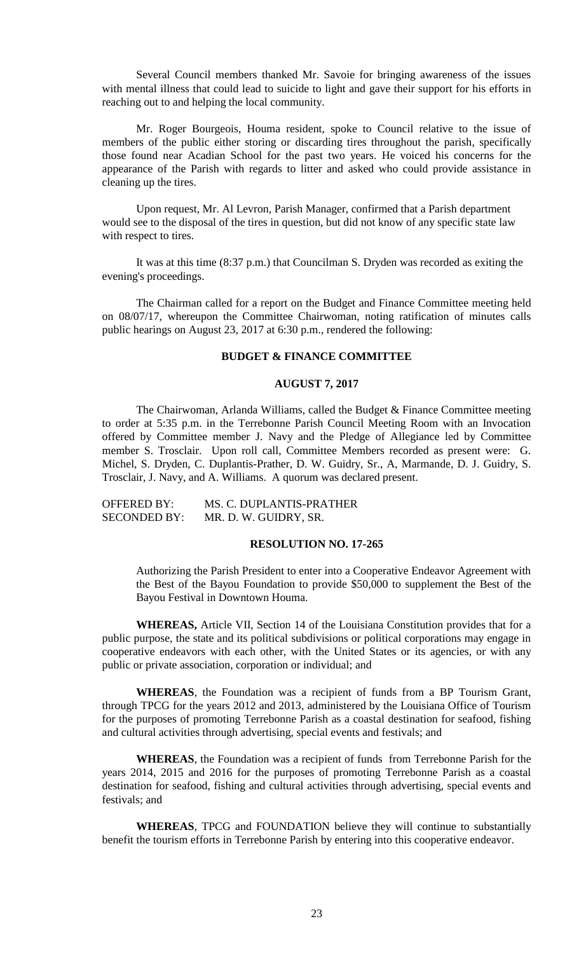Several Council members thanked Mr. Savoie for bringing awareness of the issues with mental illness that could lead to suicide to light and gave their support for his efforts in reaching out to and helping the local community.

Mr. Roger Bourgeois, Houma resident, spoke to Council relative to the issue of members of the public either storing or discarding tires throughout the parish, specifically those found near Acadian School for the past two years. He voiced his concerns for the appearance of the Parish with regards to litter and asked who could provide assistance in cleaning up the tires.

Upon request, Mr. Al Levron, Parish Manager, confirmed that a Parish department would see to the disposal of the tires in question, but did not know of any specific state law with respect to tires.

It was at this time (8:37 p.m.) that Councilman S. Dryden was recorded as exiting the evening's proceedings.

The Chairman called for a report on the Budget and Finance Committee meeting held on 08/07/17, whereupon the Committee Chairwoman, noting ratification of minutes calls public hearings on August 23, 2017 at 6:30 p.m., rendered the following:

## **BUDGET & FINANCE COMMITTEE**

### **AUGUST 7, 2017**

The Chairwoman, Arlanda Williams, called the Budget  $\&$  Finance Committee meeting to order at 5:35 p.m. in the Terrebonne Parish Council Meeting Room with an Invocation offered by Committee member J. Navy and the Pledge of Allegiance led by Committee member S. Trosclair. Upon roll call, Committee Members recorded as present were: G. Michel, S. Dryden, C. Duplantis-Prather, D. W. Guidry, Sr., A, Marmande, D. J. Guidry, S. Trosclair, J. Navy, and A. Williams. A quorum was declared present.

| <b>OFFERED BY:</b>  | MS. C. DUPLANTIS-PRATHER |
|---------------------|--------------------------|
| <b>SECONDED BY:</b> | MR. D. W. GUIDRY, SR.    |

### **RESOLUTION NO. 17-265**

Authorizing the Parish President to enter into a Cooperative Endeavor Agreement with the Best of the Bayou Foundation to provide \$50,000 to supplement the Best of the Bayou Festival in Downtown Houma.

**WHEREAS,** Article VII, Section 14 of the Louisiana Constitution provides that for a public purpose, the state and its political subdivisions or political corporations may engage in cooperative endeavors with each other, with the United States or its agencies, or with any public or private association, corporation or individual; and

**WHEREAS**, the Foundation was a recipient of funds from a BP Tourism Grant, through TPCG for the years 2012 and 2013, administered by the Louisiana Office of Tourism for the purposes of promoting Terrebonne Parish as a coastal destination for seafood, fishing and cultural activities through advertising, special events and festivals; and

**WHEREAS**, the Foundation was a recipient of funds from Terrebonne Parish for the years 2014, 2015 and 2016 for the purposes of promoting Terrebonne Parish as a coastal destination for seafood, fishing and cultural activities through advertising, special events and festivals; and

**WHEREAS**, TPCG and FOUNDATION believe they will continue to substantially benefit the tourism efforts in Terrebonne Parish by entering into this cooperative endeavor.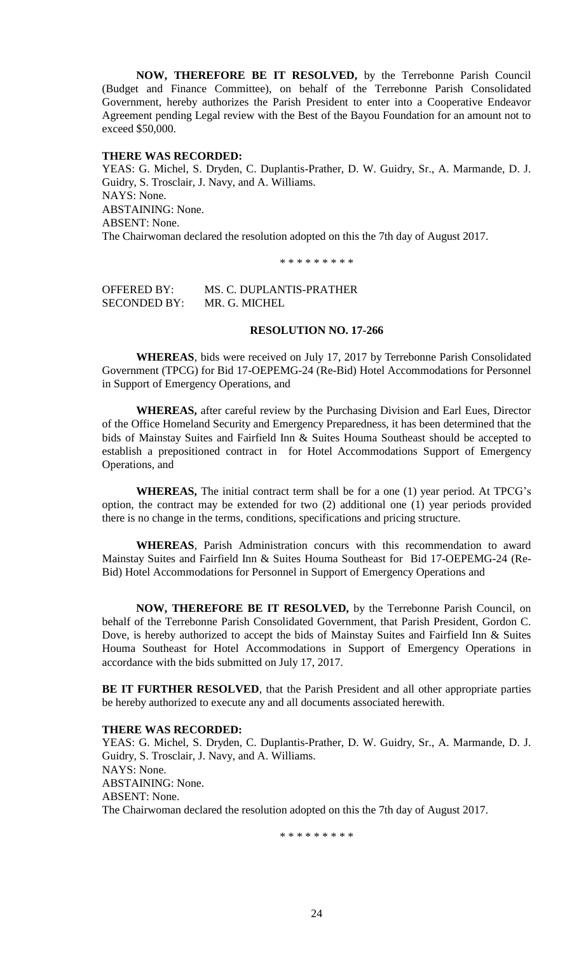**NOW, THEREFORE BE IT RESOLVED,** by the Terrebonne Parish Council (Budget and Finance Committee), on behalf of the Terrebonne Parish Consolidated Government, hereby authorizes the Parish President to enter into a Cooperative Endeavor Agreement pending Legal review with the Best of the Bayou Foundation for an amount not to exceed \$50,000.

### **THERE WAS RECORDED:**

YEAS: G. Michel, S. Dryden, C. Duplantis-Prather, D. W. Guidry, Sr., A. Marmande, D. J. Guidry, S. Trosclair, J. Navy, and A. Williams. NAYS: None. ABSTAINING: None. ABSENT: None. The Chairwoman declared the resolution adopted on this the 7th day of August 2017.

\* \* \* \* \* \* \* \* \*

OFFERED BY: MS. C. DUPLANTIS-PRATHER SECONDED BY: MR. G. MICHEL

#### **RESOLUTION NO. 17-266**

**WHEREAS**, bids were received on July 17, 2017 by Terrebonne Parish Consolidated Government (TPCG) for Bid 17-OEPEMG-24 (Re-Bid) Hotel Accommodations for Personnel in Support of Emergency Operations, and

**WHEREAS,** after careful review by the Purchasing Division and Earl Eues, Director of the Office Homeland Security and Emergency Preparedness, it has been determined that the bids of Mainstay Suites and Fairfield Inn & Suites Houma Southeast should be accepted to establish a prepositioned contract in for Hotel Accommodations Support of Emergency Operations, and

**WHEREAS,** The initial contract term shall be for a one (1) year period. At TPCG's option, the contract may be extended for two (2) additional one (1) year periods provided there is no change in the terms, conditions, specifications and pricing structure.

**WHEREAS**, Parish Administration concurs with this recommendation to award Mainstay Suites and Fairfield Inn & Suites Houma Southeast for Bid 17-OEPEMG-24 (Re-Bid) Hotel Accommodations for Personnel in Support of Emergency Operations and

**NOW, THEREFORE BE IT RESOLVED,** by the Terrebonne Parish Council, on behalf of the Terrebonne Parish Consolidated Government, that Parish President, Gordon C. Dove, is hereby authorized to accept the bids of Mainstay Suites and Fairfield Inn & Suites Houma Southeast for Hotel Accommodations in Support of Emergency Operations in accordance with the bids submitted on July 17, 2017.

**BE IT FURTHER RESOLVED**, that the Parish President and all other appropriate parties be hereby authorized to execute any and all documents associated herewith.

## **THERE WAS RECORDED:**

YEAS: G. Michel, S. Dryden, C. Duplantis-Prather, D. W. Guidry, Sr., A. Marmande, D. J. Guidry, S. Trosclair, J. Navy, and A. Williams. NAYS: None. ABSTAINING: None. ABSENT: None. The Chairwoman declared the resolution adopted on this the 7th day of August 2017.

\* \* \* \* \* \* \* \* \*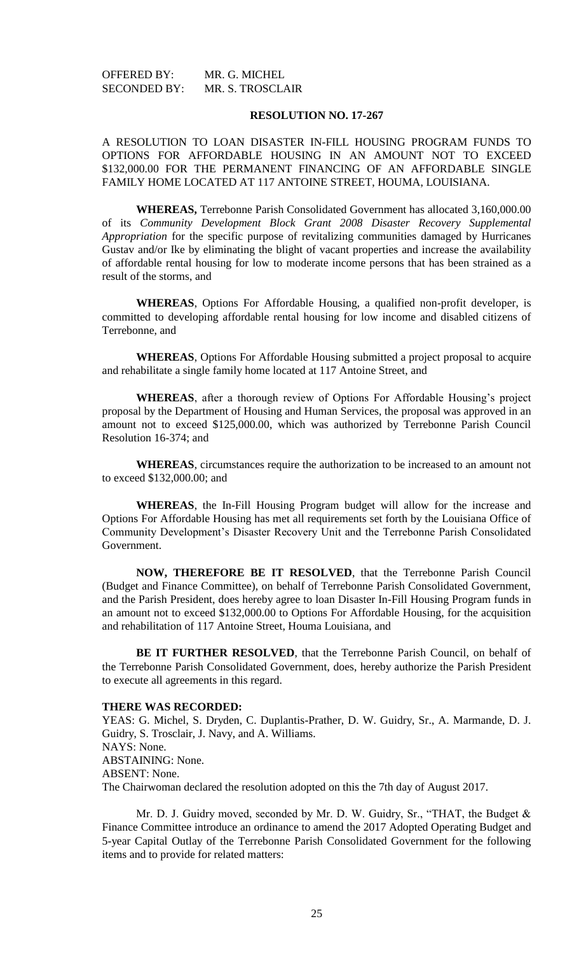| OFFERED BY:         | MR. G. MICHEL           |
|---------------------|-------------------------|
| <b>SECONDED BY:</b> | <b>MR. S. TROSCLAIR</b> |

### **RESOLUTION NO. 17-267**

A RESOLUTION TO LOAN DISASTER IN-FILL HOUSING PROGRAM FUNDS TO OPTIONS FOR AFFORDABLE HOUSING IN AN AMOUNT NOT TO EXCEED \$132,000.00 FOR THE PERMANENT FINANCING OF AN AFFORDABLE SINGLE FAMILY HOME LOCATED AT 117 ANTOINE STREET, HOUMA, LOUISIANA.

**WHEREAS,** Terrebonne Parish Consolidated Government has allocated 3,160,000.00 of its *Community Development Block Grant 2008 Disaster Recovery Supplemental Appropriation* for the specific purpose of revitalizing communities damaged by Hurricanes Gustav and/or Ike by eliminating the blight of vacant properties and increase the availability of affordable rental housing for low to moderate income persons that has been strained as a result of the storms, and

**WHEREAS**, Options For Affordable Housing, a qualified non-profit developer, is committed to developing affordable rental housing for low income and disabled citizens of Terrebonne, and

**WHEREAS**, Options For Affordable Housing submitted a project proposal to acquire and rehabilitate a single family home located at 117 Antoine Street, and

**WHEREAS**, after a thorough review of Options For Affordable Housing's project proposal by the Department of Housing and Human Services, the proposal was approved in an amount not to exceed \$125,000.00, which was authorized by Terrebonne Parish Council Resolution 16-374; and

**WHEREAS**, circumstances require the authorization to be increased to an amount not to exceed \$132,000.00; and

**WHEREAS**, the In-Fill Housing Program budget will allow for the increase and Options For Affordable Housing has met all requirements set forth by the Louisiana Office of Community Development's Disaster Recovery Unit and the Terrebonne Parish Consolidated Government.

**NOW, THEREFORE BE IT RESOLVED**, that the Terrebonne Parish Council (Budget and Finance Committee), on behalf of Terrebonne Parish Consolidated Government, and the Parish President, does hereby agree to loan Disaster In-Fill Housing Program funds in an amount not to exceed \$132,000.00 to Options For Affordable Housing, for the acquisition and rehabilitation of 117 Antoine Street, Houma Louisiana, and

**BE IT FURTHER RESOLVED**, that the Terrebonne Parish Council, on behalf of the Terrebonne Parish Consolidated Government, does, hereby authorize the Parish President to execute all agreements in this regard.

## **THERE WAS RECORDED:**

YEAS: G. Michel, S. Dryden, C. Duplantis-Prather, D. W. Guidry, Sr., A. Marmande, D. J. Guidry, S. Trosclair, J. Navy, and A. Williams. NAYS: None. ABSTAINING: None. ABSENT: None. The Chairwoman declared the resolution adopted on this the 7th day of August 2017.

Mr. D. J. Guidry moved, seconded by Mr. D. W. Guidry, Sr., "THAT, the Budget & Finance Committee introduce an ordinance to amend the 2017 Adopted Operating Budget and 5-year Capital Outlay of the Terrebonne Parish Consolidated Government for the following items and to provide for related matters: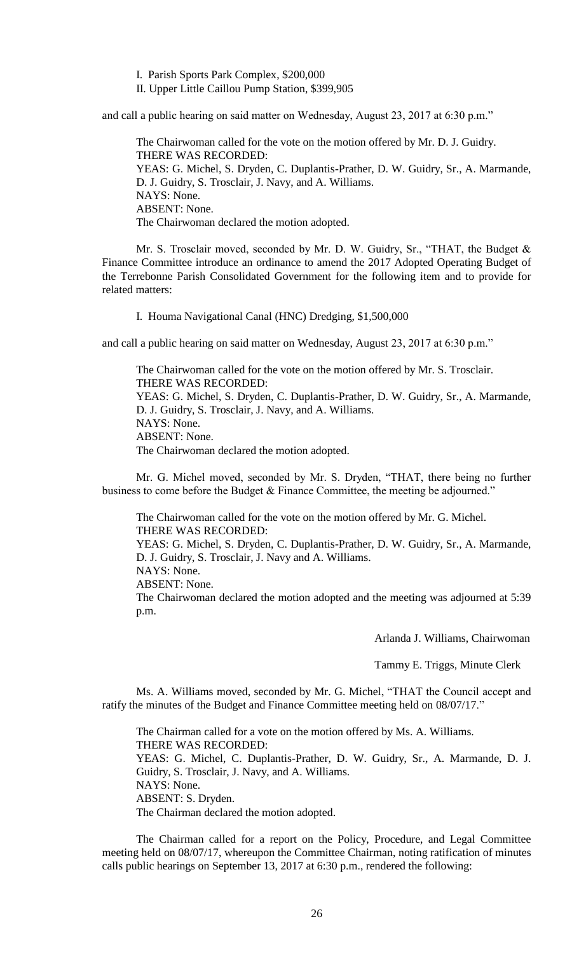I. Parish Sports Park Complex, \$200,000

II. Upper Little Caillou Pump Station, \$399,905

and call a public hearing on said matter on Wednesday, August 23, 2017 at 6:30 p.m."

The Chairwoman called for the vote on the motion offered by Mr. D. J. Guidry. THERE WAS RECORDED: YEAS: G. Michel, S. Dryden, C. Duplantis-Prather, D. W. Guidry, Sr., A. Marmande, D. J. Guidry, S. Trosclair, J. Navy, and A. Williams. NAYS: None. ABSENT: None. The Chairwoman declared the motion adopted.

Mr. S. Trosclair moved, seconded by Mr. D. W. Guidry, Sr., "THAT, the Budget & Finance Committee introduce an ordinance to amend the 2017 Adopted Operating Budget of the Terrebonne Parish Consolidated Government for the following item and to provide for related matters:

I. Houma Navigational Canal (HNC) Dredging, \$1,500,000

and call a public hearing on said matter on Wednesday, August 23, 2017 at 6:30 p.m."

The Chairwoman called for the vote on the motion offered by Mr. S. Trosclair. THERE WAS RECORDED: YEAS: G. Michel, S. Dryden, C. Duplantis-Prather, D. W. Guidry, Sr., A. Marmande, D. J. Guidry, S. Trosclair, J. Navy, and A. Williams. NAYS: None. ABSENT: None. The Chairwoman declared the motion adopted.

Mr. G. Michel moved, seconded by Mr. S. Dryden, "THAT, there being no further business to come before the Budget & Finance Committee, the meeting be adjourned."

The Chairwoman called for the vote on the motion offered by Mr. G. Michel. THERE WAS RECORDED: YEAS: G. Michel, S. Dryden, C. Duplantis-Prather, D. W. Guidry, Sr., A. Marmande, D. J. Guidry, S. Trosclair, J. Navy and A. Williams. NAYS: None. ABSENT: None. The Chairwoman declared the motion adopted and the meeting was adjourned at 5:39 p.m.

Arlanda J. Williams, Chairwoman

Tammy E. Triggs, Minute Clerk

Ms. A. Williams moved, seconded by Mr. G. Michel, "THAT the Council accept and ratify the minutes of the Budget and Finance Committee meeting held on 08/07/17."

The Chairman called for a vote on the motion offered by Ms. A. Williams. THERE WAS RECORDED: YEAS: G. Michel, C. Duplantis-Prather, D. W. Guidry, Sr., A. Marmande, D. J. Guidry, S. Trosclair, J. Navy, and A. Williams. NAYS: None. ABSENT: S. Dryden. The Chairman declared the motion adopted.

The Chairman called for a report on the Policy, Procedure, and Legal Committee meeting held on 08/07/17, whereupon the Committee Chairman, noting ratification of minutes calls public hearings on September 13, 2017 at 6:30 p.m., rendered the following: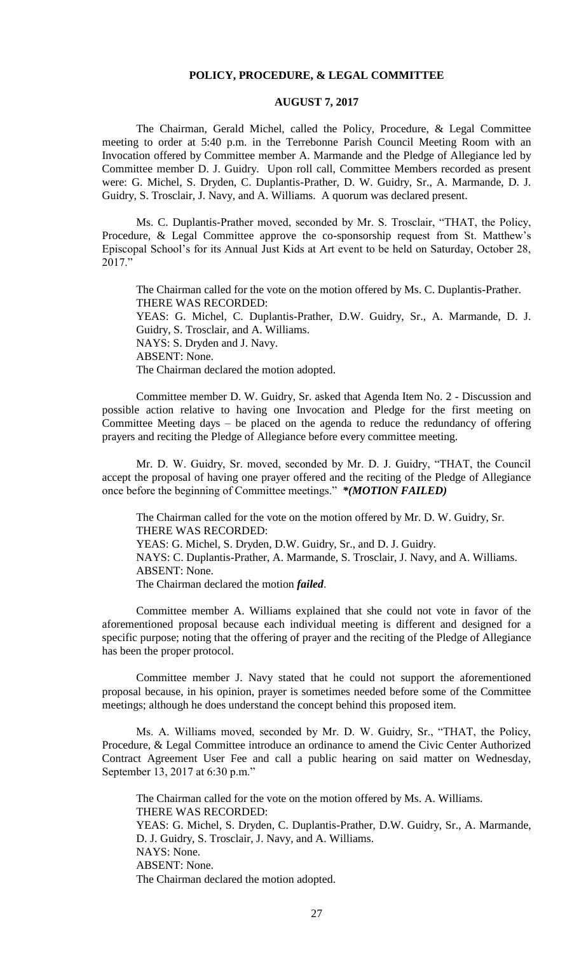### **POLICY, PROCEDURE, & LEGAL COMMITTEE**

## **AUGUST 7, 2017**

The Chairman, Gerald Michel, called the Policy, Procedure, & Legal Committee meeting to order at 5:40 p.m. in the Terrebonne Parish Council Meeting Room with an Invocation offered by Committee member A. Marmande and the Pledge of Allegiance led by Committee member D. J. Guidry. Upon roll call, Committee Members recorded as present were: G. Michel, S. Dryden, C. Duplantis-Prather, D. W. Guidry, Sr., A. Marmande, D. J. Guidry, S. Trosclair, J. Navy, and A. Williams. A quorum was declared present.

Ms. C. Duplantis-Prather moved, seconded by Mr. S. Trosclair, "THAT, the Policy, Procedure, & Legal Committee approve the co-sponsorship request from St. Matthew's Episcopal School's for its Annual Just Kids at Art event to be held on Saturday, October 28, 2017."

The Chairman called for the vote on the motion offered by Ms. C. Duplantis-Prather. THERE WAS RECORDED: YEAS: G. Michel, C. Duplantis-Prather, D.W. Guidry, Sr., A. Marmande, D. J. Guidry, S. Trosclair, and A. Williams. NAYS: S. Dryden and J. Navy. ABSENT: None. The Chairman declared the motion adopted.

Committee member D. W. Guidry, Sr. asked that Agenda Item No. 2 - Discussion and possible action relative to having one Invocation and Pledge for the first meeting on Committee Meeting days – be placed on the agenda to reduce the redundancy of offering prayers and reciting the Pledge of Allegiance before every committee meeting.

Mr. D. W. Guidry, Sr. moved, seconded by Mr. D. J. Guidry, "THAT, the Council accept the proposal of having one prayer offered and the reciting of the Pledge of Allegiance once before the beginning of Committee meetings." *\*(MOTION FAILED)*

The Chairman called for the vote on the motion offered by Mr. D. W. Guidry, Sr. THERE WAS RECORDED: YEAS: G. Michel, S. Dryden, D.W. Guidry, Sr., and D. J. Guidry. NAYS: C. Duplantis-Prather, A. Marmande, S. Trosclair, J. Navy, and A. Williams. ABSENT: None. The Chairman declared the motion *failed*.

Committee member A. Williams explained that she could not vote in favor of the aforementioned proposal because each individual meeting is different and designed for a specific purpose; noting that the offering of prayer and the reciting of the Pledge of Allegiance has been the proper protocol.

Committee member J. Navy stated that he could not support the aforementioned proposal because, in his opinion, prayer is sometimes needed before some of the Committee meetings; although he does understand the concept behind this proposed item.

Ms. A. Williams moved, seconded by Mr. D. W. Guidry, Sr., "THAT, the Policy, Procedure, & Legal Committee introduce an ordinance to amend the Civic Center Authorized Contract Agreement User Fee and call a public hearing on said matter on Wednesday, September 13, 2017 at 6:30 p.m."

The Chairman called for the vote on the motion offered by Ms. A. Williams. THERE WAS RECORDED: YEAS: G. Michel, S. Dryden, C. Duplantis-Prather, D.W. Guidry, Sr., A. Marmande, D. J. Guidry, S. Trosclair, J. Navy, and A. Williams. NAYS: None. ABSENT: None. The Chairman declared the motion adopted.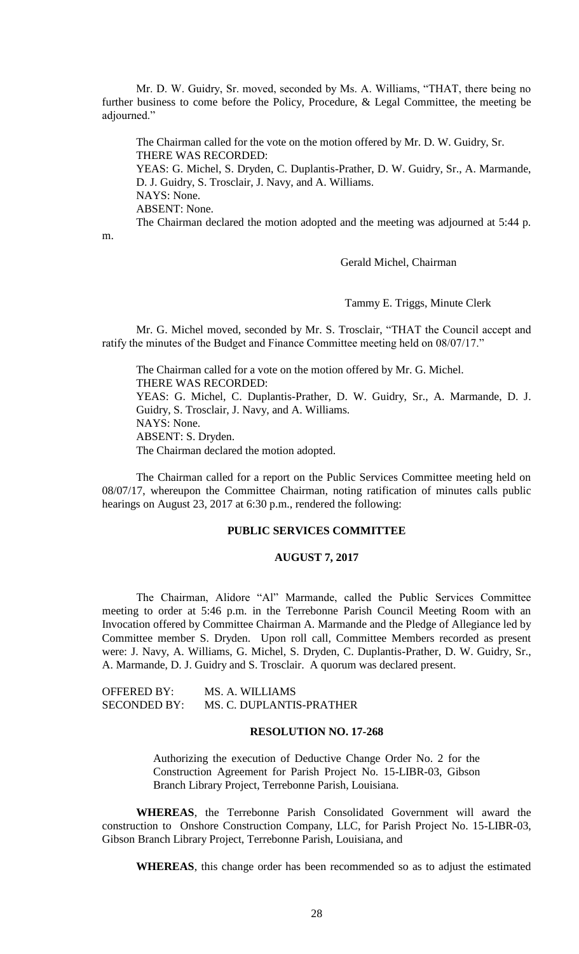Mr. D. W. Guidry, Sr. moved, seconded by Ms. A. Williams, "THAT, there being no further business to come before the Policy, Procedure, & Legal Committee, the meeting be adjourned."

The Chairman called for the vote on the motion offered by Mr. D. W. Guidry, Sr. THERE WAS RECORDED: YEAS: G. Michel, S. Dryden, C. Duplantis-Prather, D. W. Guidry, Sr., A. Marmande, D. J. Guidry, S. Trosclair, J. Navy, and A. Williams. NAYS: None. ABSENT: None. The Chairman declared the motion adopted and the meeting was adjourned at 5:44 p.

m.

Gerald Michel, Chairman

Tammy E. Triggs, Minute Clerk

Mr. G. Michel moved, seconded by Mr. S. Trosclair, "THAT the Council accept and ratify the minutes of the Budget and Finance Committee meeting held on 08/07/17."

The Chairman called for a vote on the motion offered by Mr. G. Michel. THERE WAS RECORDED: YEAS: G. Michel, C. Duplantis-Prather, D. W. Guidry, Sr., A. Marmande, D. J. Guidry, S. Trosclair, J. Navy, and A. Williams. NAYS: None. ABSENT: S. Dryden. The Chairman declared the motion adopted.

The Chairman called for a report on the Public Services Committee meeting held on 08/07/17, whereupon the Committee Chairman, noting ratification of minutes calls public hearings on August 23, 2017 at 6:30 p.m., rendered the following:

### **PUBLIC SERVICES COMMITTEE**

## **AUGUST 7, 2017**

The Chairman, Alidore "Al" Marmande, called the Public Services Committee meeting to order at 5:46 p.m. in the Terrebonne Parish Council Meeting Room with an Invocation offered by Committee Chairman A. Marmande and the Pledge of Allegiance led by Committee member S. Dryden. Upon roll call, Committee Members recorded as present were: J. Navy, A. Williams, G. Michel, S. Dryden, C. Duplantis-Prather, D. W. Guidry, Sr., A. Marmande, D. J. Guidry and S. Trosclair. A quorum was declared present.

| <b>OFFERED BY:</b>  | MS. A. WILLIAMS          |
|---------------------|--------------------------|
| <b>SECONDED BY:</b> | MS. C. DUPLANTIS-PRATHER |

#### **RESOLUTION NO. 17-268**

Authorizing the execution of Deductive Change Order No. 2 for the Construction Agreement for Parish Project No. 15-LIBR-03, Gibson Branch Library Project, Terrebonne Parish, Louisiana.

**WHEREAS**, the Terrebonne Parish Consolidated Government will award the construction to Onshore Construction Company, LLC, for Parish Project No. 15-LIBR-03, Gibson Branch Library Project, Terrebonne Parish, Louisiana, and

**WHEREAS**, this change order has been recommended so as to adjust the estimated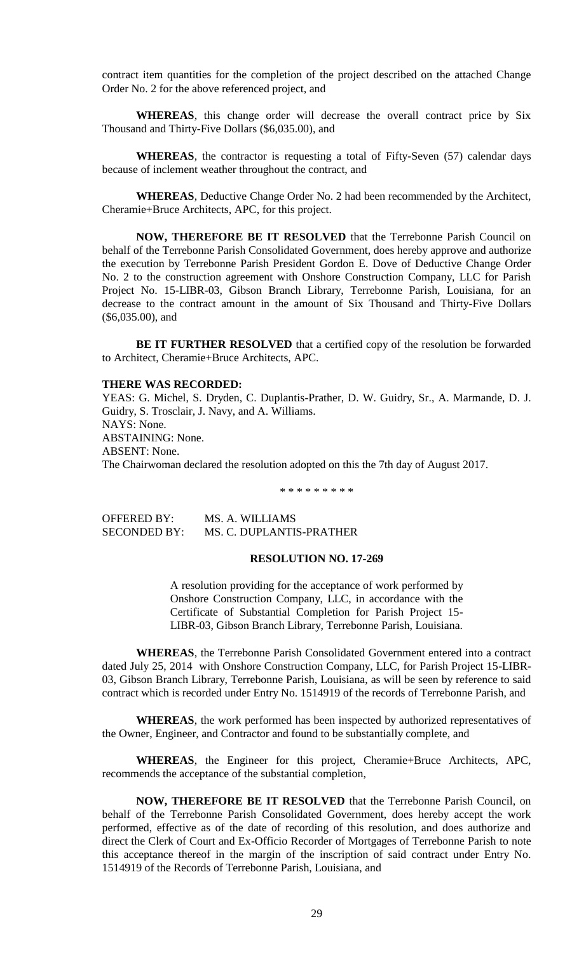contract item quantities for the completion of the project described on the attached Change Order No. 2 for the above referenced project, and

**WHEREAS**, this change order will decrease the overall contract price by Six Thousand and Thirty-Five Dollars (\$6,035.00), and

**WHEREAS**, the contractor is requesting a total of Fifty-Seven (57) calendar days because of inclement weather throughout the contract, and

**WHEREAS**, Deductive Change Order No. 2 had been recommended by the Architect, Cheramie+Bruce Architects, APC, for this project.

**NOW, THEREFORE BE IT RESOLVED** that the Terrebonne Parish Council on behalf of the Terrebonne Parish Consolidated Government, does hereby approve and authorize the execution by Terrebonne Parish President Gordon E. Dove of Deductive Change Order No. 2 to the construction agreement with Onshore Construction Company, LLC for Parish Project No. 15-LIBR-03, Gibson Branch Library, Terrebonne Parish, Louisiana, for an decrease to the contract amount in the amount of Six Thousand and Thirty-Five Dollars (\$6,035.00), and

**BE IT FURTHER RESOLVED** that a certified copy of the resolution be forwarded to Architect, Cheramie+Bruce Architects, APC.

#### **THERE WAS RECORDED:**

YEAS: G. Michel, S. Dryden, C. Duplantis-Prather, D. W. Guidry, Sr., A. Marmande, D. J. Guidry, S. Trosclair, J. Navy, and A. Williams. NAYS: None. ABSTAINING: None. ABSENT: None. The Chairwoman declared the resolution adopted on this the 7th day of August 2017.

\* \* \* \* \* \* \* \* \*

OFFERED BY: MS. A. WILLIAMS SECONDED BY: MS. C. DUPLANTIS-PRATHER

### **RESOLUTION NO. 17-269**

A resolution providing for the acceptance of work performed by Onshore Construction Company, LLC, in accordance with the Certificate of Substantial Completion for Parish Project 15- LIBR-03, Gibson Branch Library, Terrebonne Parish, Louisiana.

**WHEREAS**, the Terrebonne Parish Consolidated Government entered into a contract dated July 25, 2014 with Onshore Construction Company, LLC, for Parish Project 15-LIBR-03, Gibson Branch Library, Terrebonne Parish, Louisiana, as will be seen by reference to said contract which is recorded under Entry No. 1514919 of the records of Terrebonne Parish, and

**WHEREAS**, the work performed has been inspected by authorized representatives of the Owner, Engineer, and Contractor and found to be substantially complete, and

**WHEREAS**, the Engineer for this project, Cheramie+Bruce Architects, APC, recommends the acceptance of the substantial completion,

**NOW, THEREFORE BE IT RESOLVED** that the Terrebonne Parish Council, on behalf of the Terrebonne Parish Consolidated Government, does hereby accept the work performed, effective as of the date of recording of this resolution, and does authorize and direct the Clerk of Court and Ex-Officio Recorder of Mortgages of Terrebonne Parish to note this acceptance thereof in the margin of the inscription of said contract under Entry No. 1514919 of the Records of Terrebonne Parish, Louisiana, and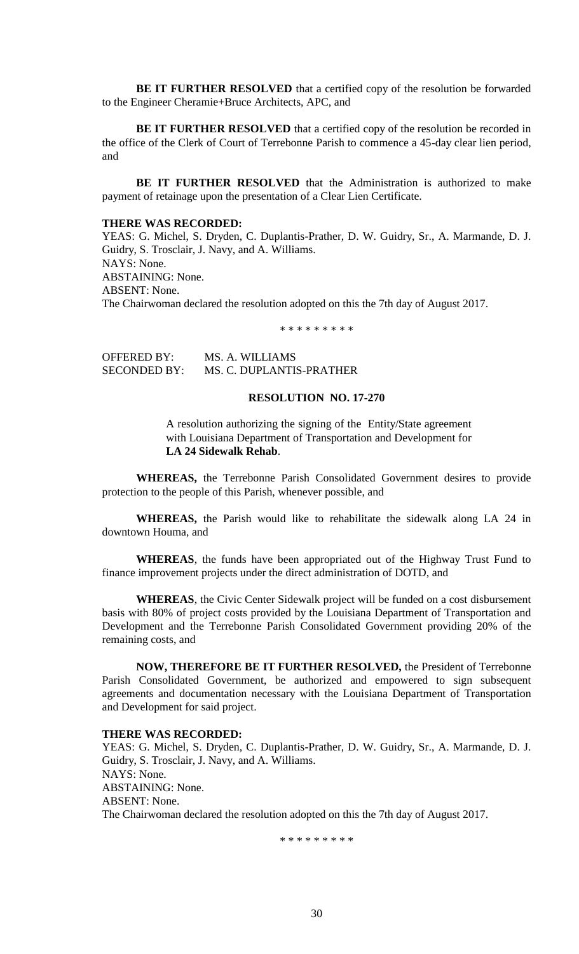**BE IT FURTHER RESOLVED** that a certified copy of the resolution be forwarded to the Engineer Cheramie+Bruce Architects, APC, and

**BE IT FURTHER RESOLVED** that a certified copy of the resolution be recorded in the office of the Clerk of Court of Terrebonne Parish to commence a 45-day clear lien period, and

**BE IT FURTHER RESOLVED** that the Administration is authorized to make payment of retainage upon the presentation of a Clear Lien Certificate.

## **THERE WAS RECORDED:**

YEAS: G. Michel, S. Dryden, C. Duplantis-Prather, D. W. Guidry, Sr., A. Marmande, D. J. Guidry, S. Trosclair, J. Navy, and A. Williams. NAYS: None. ABSTAINING: None. ABSENT: None. The Chairwoman declared the resolution adopted on this the 7th day of August 2017.

\* \* \* \* \* \* \* \* \*

OFFERED BY: MS. A. WILLIAMS SECONDED BY: MS. C. DUPLANTIS-PRATHER

## **RESOLUTION NO. 17-270**

A resolution authorizing the signing of the Entity/State agreement with Louisiana Department of Transportation and Development for **LA 24 Sidewalk Rehab**.

**WHEREAS,** the Terrebonne Parish Consolidated Government desires to provide protection to the people of this Parish, whenever possible, and

**WHEREAS,** the Parish would like to rehabilitate the sidewalk along LA 24 in downtown Houma, and

**WHEREAS**, the funds have been appropriated out of the Highway Trust Fund to finance improvement projects under the direct administration of DOTD, and

**WHEREAS**, the Civic Center Sidewalk project will be funded on a cost disbursement basis with 80% of project costs provided by the Louisiana Department of Transportation and Development and the Terrebonne Parish Consolidated Government providing 20% of the remaining costs, and

**NOW, THEREFORE BE IT FURTHER RESOLVED,** the President of Terrebonne Parish Consolidated Government, be authorized and empowered to sign subsequent agreements and documentation necessary with the Louisiana Department of Transportation and Development for said project.

#### **THERE WAS RECORDED:**

YEAS: G. Michel, S. Dryden, C. Duplantis-Prather, D. W. Guidry, Sr., A. Marmande, D. J. Guidry, S. Trosclair, J. Navy, and A. Williams. NAYS: None. ABSTAINING: None. ABSENT: None. The Chairwoman declared the resolution adopted on this the 7th day of August 2017.

\* \* \* \* \* \* \* \* \*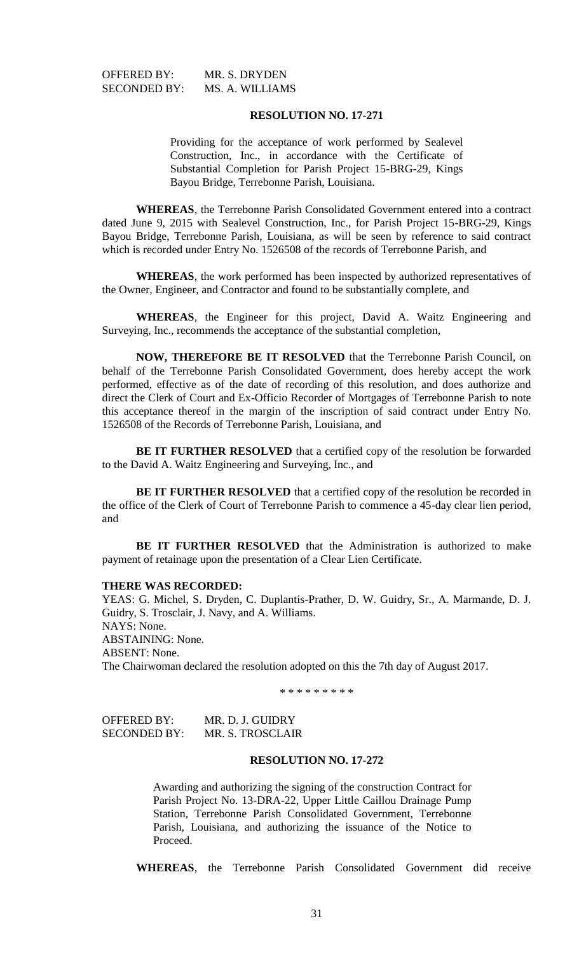OFFERED BY: MR. S. DRYDEN SECONDED BY: MS. A. WILLIAMS

## **RESOLUTION NO. 17-271**

Providing for the acceptance of work performed by Sealevel Construction, Inc., in accordance with the Certificate of Substantial Completion for Parish Project 15-BRG-29, Kings Bayou Bridge, Terrebonne Parish, Louisiana.

**WHEREAS**, the Terrebonne Parish Consolidated Government entered into a contract dated June 9, 2015 with Sealevel Construction, Inc., for Parish Project 15-BRG-29, Kings Bayou Bridge, Terrebonne Parish, Louisiana, as will be seen by reference to said contract which is recorded under Entry No. 1526508 of the records of Terrebonne Parish, and

**WHEREAS**, the work performed has been inspected by authorized representatives of the Owner, Engineer, and Contractor and found to be substantially complete, and

**WHEREAS**, the Engineer for this project, David A. Waitz Engineering and Surveying, Inc., recommends the acceptance of the substantial completion,

**NOW, THEREFORE BE IT RESOLVED** that the Terrebonne Parish Council, on behalf of the Terrebonne Parish Consolidated Government, does hereby accept the work performed, effective as of the date of recording of this resolution, and does authorize and direct the Clerk of Court and Ex-Officio Recorder of Mortgages of Terrebonne Parish to note this acceptance thereof in the margin of the inscription of said contract under Entry No. 1526508 of the Records of Terrebonne Parish, Louisiana, and

**BE IT FURTHER RESOLVED** that a certified copy of the resolution be forwarded to the David A. Waitz Engineering and Surveying, Inc., and

**BE IT FURTHER RESOLVED** that a certified copy of the resolution be recorded in the office of the Clerk of Court of Terrebonne Parish to commence a 45-day clear lien period, and

**BE IT FURTHER RESOLVED** that the Administration is authorized to make payment of retainage upon the presentation of a Clear Lien Certificate.

#### **THERE WAS RECORDED:**

YEAS: G. Michel, S. Dryden, C. Duplantis-Prather, D. W. Guidry, Sr., A. Marmande, D. J. Guidry, S. Trosclair, J. Navy, and A. Williams. NAYS: None. ABSTAINING: None. ABSENT: None. The Chairwoman declared the resolution adopted on this the 7th day of August 2017.

\* \* \* \* \* \* \* \* \*

OFFERED BY: MR. D. J. GUIDRY SECONDED BY: MR. S. TROSCLAIR

## **RESOLUTION NO. 17-272**

Awarding and authorizing the signing of the construction Contract for Parish Project No. 13-DRA-22, Upper Little Caillou Drainage Pump Station, Terrebonne Parish Consolidated Government, Terrebonne Parish, Louisiana, and authorizing the issuance of the Notice to Proceed.

**WHEREAS**, the Terrebonne Parish Consolidated Government did receive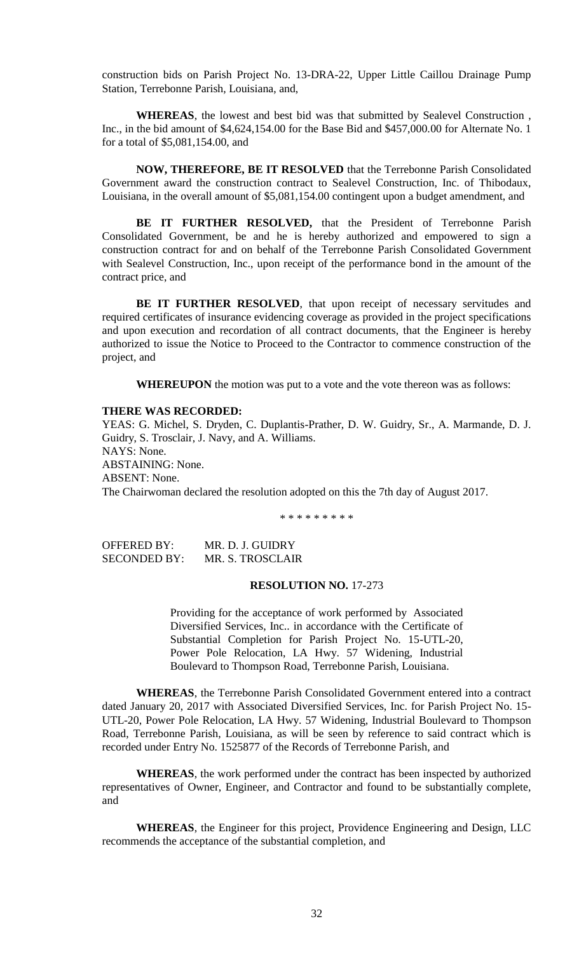construction bids on Parish Project No. 13-DRA-22, Upper Little Caillou Drainage Pump Station, Terrebonne Parish, Louisiana, and,

**WHEREAS**, the lowest and best bid was that submitted by Sealevel Construction , Inc., in the bid amount of \$4,624,154.00 for the Base Bid and \$457,000.00 for Alternate No. 1 for a total of \$5,081,154.00, and

**NOW, THEREFORE, BE IT RESOLVED** that the Terrebonne Parish Consolidated Government award the construction contract to Sealevel Construction, Inc. of Thibodaux, Louisiana, in the overall amount of \$5,081,154.00 contingent upon a budget amendment, and

**BE IT FURTHER RESOLVED,** that the President of Terrebonne Parish Consolidated Government, be and he is hereby authorized and empowered to sign a construction contract for and on behalf of the Terrebonne Parish Consolidated Government with Sealevel Construction, Inc., upon receipt of the performance bond in the amount of the contract price, and

BE IT FURTHER RESOLVED, that upon receipt of necessary servitudes and required certificates of insurance evidencing coverage as provided in the project specifications and upon execution and recordation of all contract documents, that the Engineer is hereby authorized to issue the Notice to Proceed to the Contractor to commence construction of the project, and

**WHEREUPON** the motion was put to a vote and the vote thereon was as follows:

#### **THERE WAS RECORDED:**

YEAS: G. Michel, S. Dryden, C. Duplantis-Prather, D. W. Guidry, Sr., A. Marmande, D. J. Guidry, S. Trosclair, J. Navy, and A. Williams. NAYS: None. ABSTAINING: None. ABSENT: None. The Chairwoman declared the resolution adopted on this the 7th day of August 2017.

\* \* \* \* \* \* \* \* \*

| OFFERED BY:         | MR. D. J. GUIDRY |
|---------------------|------------------|
| <b>SECONDED BY:</b> | MR. S. TROSCLAIR |

### **RESOLUTION NO.** 17-273

Providing for the acceptance of work performed by Associated Diversified Services, Inc.. in accordance with the Certificate of Substantial Completion for Parish Project No. 15-UTL-20, Power Pole Relocation, LA Hwy. 57 Widening, Industrial Boulevard to Thompson Road, Terrebonne Parish, Louisiana.

**WHEREAS**, the Terrebonne Parish Consolidated Government entered into a contract dated January 20, 2017 with Associated Diversified Services, Inc. for Parish Project No. 15- UTL-20, Power Pole Relocation, LA Hwy. 57 Widening, Industrial Boulevard to Thompson Road, Terrebonne Parish, Louisiana, as will be seen by reference to said contract which is recorded under Entry No. 1525877 of the Records of Terrebonne Parish, and

**WHEREAS**, the work performed under the contract has been inspected by authorized representatives of Owner, Engineer, and Contractor and found to be substantially complete, and

**WHEREAS**, the Engineer for this project, Providence Engineering and Design, LLC recommends the acceptance of the substantial completion, and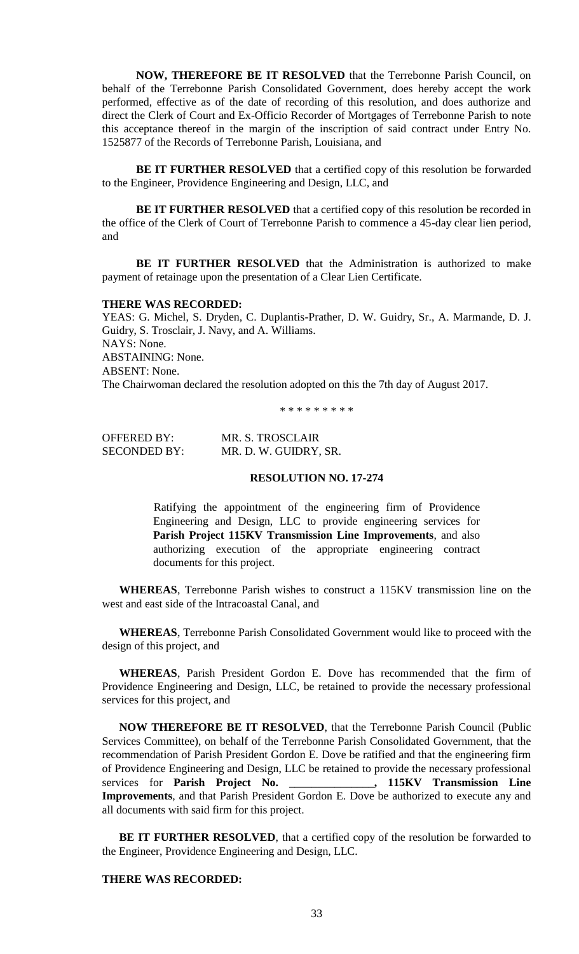**NOW, THEREFORE BE IT RESOLVED** that the Terrebonne Parish Council, on behalf of the Terrebonne Parish Consolidated Government, does hereby accept the work performed, effective as of the date of recording of this resolution, and does authorize and direct the Clerk of Court and Ex-Officio Recorder of Mortgages of Terrebonne Parish to note this acceptance thereof in the margin of the inscription of said contract under Entry No. 1525877 of the Records of Terrebonne Parish, Louisiana, and

**BE IT FURTHER RESOLVED** that a certified copy of this resolution be forwarded to the Engineer, Providence Engineering and Design, LLC, and

**BE IT FURTHER RESOLVED** that a certified copy of this resolution be recorded in the office of the Clerk of Court of Terrebonne Parish to commence a 45-day clear lien period, and

**BE IT FURTHER RESOLVED** that the Administration is authorized to make payment of retainage upon the presentation of a Clear Lien Certificate.

## **THERE WAS RECORDED:**

YEAS: G. Michel, S. Dryden, C. Duplantis-Prather, D. W. Guidry, Sr., A. Marmande, D. J. Guidry, S. Trosclair, J. Navy, and A. Williams. NAYS: None. ABSTAINING: None. ABSENT: None. The Chairwoman declared the resolution adopted on this the 7th day of August 2017.

\* \* \* \* \* \* \* \* \*

| <b>OFFERED BY:</b>  | MR. S. TROSCLAIR      |
|---------------------|-----------------------|
| <b>SECONDED BY:</b> | MR. D. W. GUIDRY, SR. |

### **RESOLUTION NO. 17-274**

Ratifying the appointment of the engineering firm of Providence Engineering and Design, LLC to provide engineering services for **Parish Project 115KV Transmission Line Improvements**, and also authorizing execution of the appropriate engineering contract documents for this project.

**WHEREAS**, Terrebonne Parish wishes to construct a 115KV transmission line on the west and east side of the Intracoastal Canal, and

**WHEREAS**, Terrebonne Parish Consolidated Government would like to proceed with the design of this project, and

**WHEREAS**, Parish President Gordon E. Dove has recommended that the firm of Providence Engineering and Design, LLC, be retained to provide the necessary professional services for this project, and

**NOW THEREFORE BE IT RESOLVED**, that the Terrebonne Parish Council (Public Services Committee), on behalf of the Terrebonne Parish Consolidated Government, that the recommendation of Parish President Gordon E. Dove be ratified and that the engineering firm of Providence Engineering and Design, LLC be retained to provide the necessary professional services for **Parish Project No. \_\_\_\_\_\_\_\_\_\_\_\_\_\_\_, 115KV Transmission Line Improvements**, and that Parish President Gordon E. Dove be authorized to execute any and all documents with said firm for this project.

BE IT FURTHER RESOLVED, that a certified copy of the resolution be forwarded to the Engineer, Providence Engineering and Design, LLC.

## **THERE WAS RECORDED:**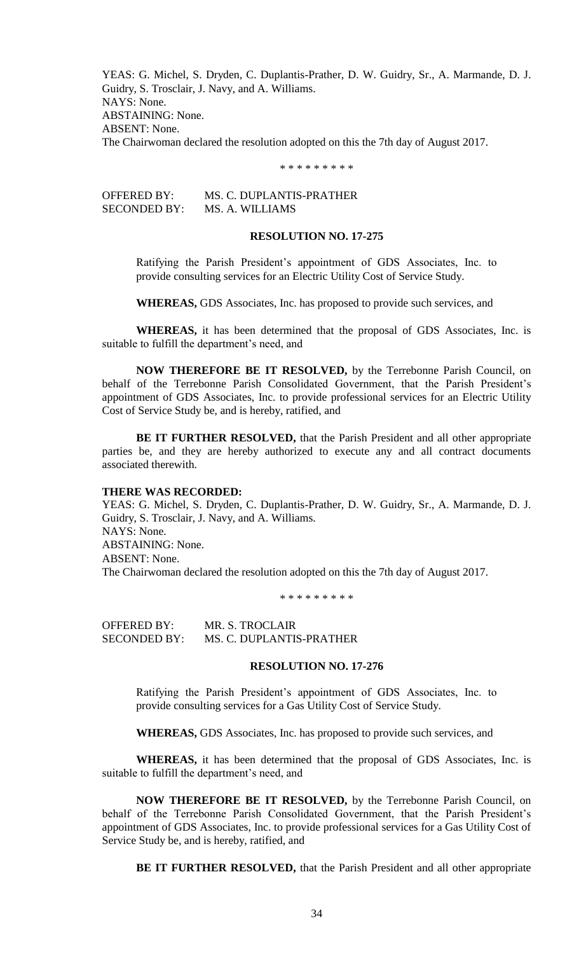YEAS: G. Michel, S. Dryden, C. Duplantis-Prather, D. W. Guidry, Sr., A. Marmande, D. J. Guidry, S. Trosclair, J. Navy, and A. Williams. NAYS: None. ABSTAINING: None. ABSENT: None. The Chairwoman declared the resolution adopted on this the 7th day of August 2017.

\* \* \* \* \* \* \* \* \*

OFFERED BY: MS. C. DUPLANTIS-PRATHER SECONDED BY: MS. A. WILLIAMS

## **RESOLUTION NO. 17-275**

Ratifying the Parish President's appointment of GDS Associates, Inc. to provide consulting services for an Electric Utility Cost of Service Study.

**WHEREAS,** GDS Associates, Inc. has proposed to provide such services, and

**WHEREAS,** it has been determined that the proposal of GDS Associates, Inc. is suitable to fulfill the department's need, and

**NOW THEREFORE BE IT RESOLVED,** by the Terrebonne Parish Council, on behalf of the Terrebonne Parish Consolidated Government, that the Parish President's appointment of GDS Associates, Inc. to provide professional services for an Electric Utility Cost of Service Study be, and is hereby, ratified, and

**BE IT FURTHER RESOLVED,** that the Parish President and all other appropriate parties be, and they are hereby authorized to execute any and all contract documents associated therewith.

### **THERE WAS RECORDED:**

YEAS: G. Michel, S. Dryden, C. Duplantis-Prather, D. W. Guidry, Sr., A. Marmande, D. J. Guidry, S. Trosclair, J. Navy, and A. Williams. NAYS: None. ABSTAINING: None. ABSENT: None. The Chairwoman declared the resolution adopted on this the 7th day of August 2017.

\* \* \* \* \* \* \* \* \*

OFFERED BY: MR. S. TROCLAIR SECONDED BY: MS. C. DUPLANTIS-PRATHER

## **RESOLUTION NO. 17-276**

Ratifying the Parish President's appointment of GDS Associates, Inc. to provide consulting services for a Gas Utility Cost of Service Study.

**WHEREAS,** GDS Associates, Inc. has proposed to provide such services, and

**WHEREAS,** it has been determined that the proposal of GDS Associates, Inc. is suitable to fulfill the department's need, and

**NOW THEREFORE BE IT RESOLVED,** by the Terrebonne Parish Council, on behalf of the Terrebonne Parish Consolidated Government, that the Parish President's appointment of GDS Associates, Inc. to provide professional services for a Gas Utility Cost of Service Study be, and is hereby, ratified, and

**BE IT FURTHER RESOLVED,** that the Parish President and all other appropriate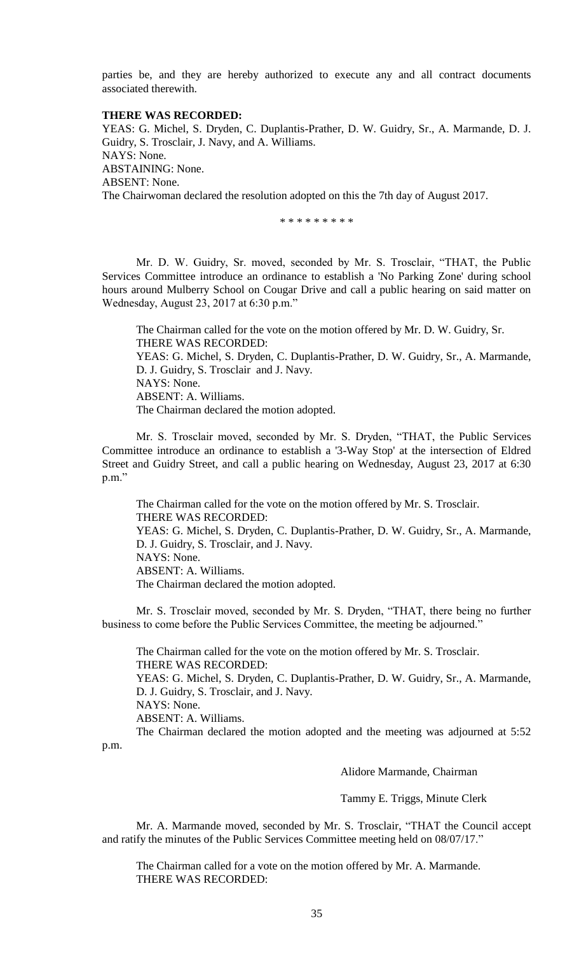parties be, and they are hereby authorized to execute any and all contract documents associated therewith.

## **THERE WAS RECORDED:**

YEAS: G. Michel, S. Dryden, C. Duplantis-Prather, D. W. Guidry, Sr., A. Marmande, D. J. Guidry, S. Trosclair, J. Navy, and A. Williams. NAYS: None. ABSTAINING: None. ABSENT: None. The Chairwoman declared the resolution adopted on this the 7th day of August 2017.

\* \* \* \* \* \* \* \* \*

Mr. D. W. Guidry, Sr. moved, seconded by Mr. S. Trosclair, "THAT, the Public Services Committee introduce an ordinance to establish a 'No Parking Zone' during school hours around Mulberry School on Cougar Drive and call a public hearing on said matter on Wednesday, August 23, 2017 at 6:30 p.m."

The Chairman called for the vote on the motion offered by Mr. D. W. Guidry, Sr. THERE WAS RECORDED: YEAS: G. Michel, S. Dryden, C. Duplantis-Prather, D. W. Guidry, Sr., A. Marmande, D. J. Guidry, S. Trosclair and J. Navy. NAYS: None. ABSENT: A. Williams. The Chairman declared the motion adopted.

Mr. S. Trosclair moved, seconded by Mr. S. Dryden, "THAT, the Public Services Committee introduce an ordinance to establish a '3-Way Stop' at the intersection of Eldred Street and Guidry Street, and call a public hearing on Wednesday, August 23, 2017 at 6:30 p.m."

The Chairman called for the vote on the motion offered by Mr. S. Trosclair. THERE WAS RECORDED: YEAS: G. Michel, S. Dryden, C. Duplantis-Prather, D. W. Guidry, Sr., A. Marmande, D. J. Guidry, S. Trosclair, and J. Navy. NAYS: None. ABSENT: A. Williams. The Chairman declared the motion adopted.

Mr. S. Trosclair moved, seconded by Mr. S. Dryden, "THAT, there being no further business to come before the Public Services Committee, the meeting be adjourned."

The Chairman called for the vote on the motion offered by Mr. S. Trosclair. THERE WAS RECORDED: YEAS: G. Michel, S. Dryden, C. Duplantis-Prather, D. W. Guidry, Sr., A. Marmande, D. J. Guidry, S. Trosclair, and J. Navy. NAYS: None. ABSENT: A. Williams. The Chairman declared the motion adopted and the meeting was adjourned at 5:52

p.m.

Alidore Marmande, Chairman

Tammy E. Triggs, Minute Clerk

Mr. A. Marmande moved, seconded by Mr. S. Trosclair, "THAT the Council accept and ratify the minutes of the Public Services Committee meeting held on 08/07/17."

The Chairman called for a vote on the motion offered by Mr. A. Marmande. THERE WAS RECORDED: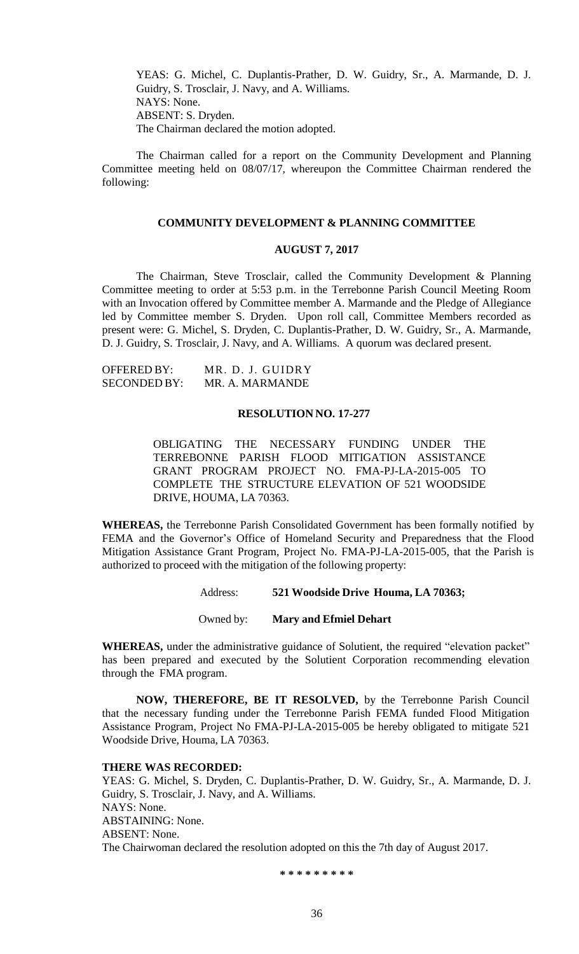YEAS: G. Michel, C. Duplantis-Prather, D. W. Guidry, Sr., A. Marmande, D. J. Guidry, S. Trosclair, J. Navy, and A. Williams. NAYS: None. ABSENT: S. Dryden. The Chairman declared the motion adopted.

The Chairman called for a report on the Community Development and Planning Committee meeting held on 08/07/17, whereupon the Committee Chairman rendered the following:

#### **COMMUNITY DEVELOPMENT & PLANNING COMMITTEE**

## **AUGUST 7, 2017**

The Chairman, Steve Trosclair, called the Community Development & Planning Committee meeting to order at 5:53 p.m. in the Terrebonne Parish Council Meeting Room with an Invocation offered by Committee member A. Marmande and the Pledge of Allegiance led by Committee member S. Dryden. Upon roll call, Committee Members recorded as present were: G. Michel, S. Dryden, C. Duplantis-Prather, D. W. Guidry, Sr., A. Marmande, D. J. Guidry, S. Trosclair, J. Navy, and A. Williams. A quorum was declared present.

| OFFERED BY:  | MR. D. J. GUIDRY |
|--------------|------------------|
| SECONDED BY: | MR. A. MARMANDE  |

## **RESOLUTION NO. 17-277**

OBLIGATING THE NECESSARY FUNDING UNDER THE TERREBONNE PARISH FLOOD MITIGATION ASSISTANCE GRANT PROGRAM PROJECT NO. FMA-PJ-LA-2015-005 TO COMPLETE THE STRUCTURE ELEVATION OF 521 WOODSIDE DRIVE, HOUMA, LA 70363.

**WHEREAS,** the Terrebonne Parish Consolidated Government has been formally notified by FEMA and the Governor's Office of Homeland Security and Preparedness that the Flood Mitigation Assistance Grant Program, Project No. FMA-PJ-LA-2015-005, that the Parish is authorized to proceed with the mitigation of the following property:

Address: **521 Woodside Drive Houma, LA 70363;**

Owned by: **Mary and Efmiel Dehart**

**WHEREAS,** under the administrative guidance of Solutient, the required "elevation packet" has been prepared and executed by the Solutient Corporation recommending elevation through the FMA program.

**NOW, THEREFORE, BE IT RESOLVED,** by the Terrebonne Parish Council that the necessary funding under the Terrebonne Parish FEMA funded Flood Mitigation Assistance Program, Project No FMA-PJ-LA-2015-005 be hereby obligated to mitigate 521 Woodside Drive, Houma, LA 70363.

#### **THERE WAS RECORDED:**

YEAS: G. Michel, S. Dryden, C. Duplantis-Prather, D. W. Guidry, Sr., A. Marmande, D. J. Guidry, S. Trosclair, J. Navy, and A. Williams. NAYS: None. ABSTAINING: None. ABSENT: None. The Chairwoman declared the resolution adopted on this the 7th day of August 2017.

**\* \* \* \* \* \* \* \* \***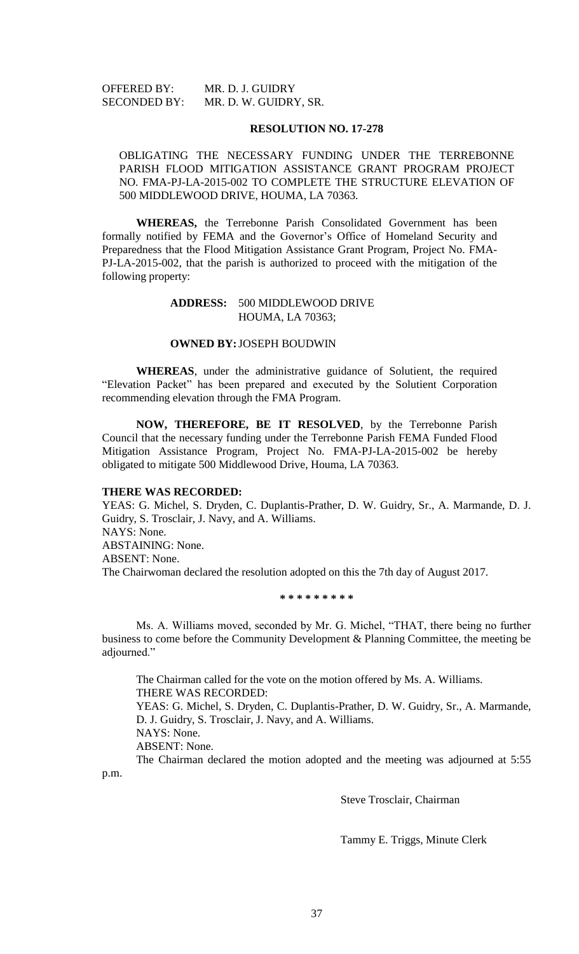| <b>OFFERED BY:</b>  | MR. D. J. GUIDRY      |
|---------------------|-----------------------|
| <b>SECONDED BY:</b> | MR. D. W. GUIDRY, SR. |

#### **RESOLUTION NO. 17-278**

## OBLIGATING THE NECESSARY FUNDING UNDER THE TERREBONNE PARISH FLOOD MITIGATION ASSISTANCE GRANT PROGRAM PROJECT NO. FMA-PJ-LA-2015-002 TO COMPLETE THE STRUCTURE ELEVATION OF 500 MIDDLEWOOD DRIVE, HOUMA, LA 70363.

**WHEREAS,** the Terrebonne Parish Consolidated Government has been formally notified by FEMA and the Governor's Office of Homeland Security and Preparedness that the Flood Mitigation Assistance Grant Program, Project No. FMA-PJ-LA-2015-002, that the parish is authorized to proceed with the mitigation of the following property:

## **ADDRESS:** 500 MIDDLEWOOD DRIVE HOUMA, LA 70363;

### **OWNED BY:**JOSEPH BOUDWIN

**WHEREAS**, under the administrative guidance of Solutient, the required "Elevation Packet" has been prepared and executed by the Solutient Corporation recommending elevation through the FMA Program.

**NOW, THEREFORE, BE IT RESOLVED**, by the Terrebonne Parish Council that the necessary funding under the Terrebonne Parish FEMA Funded Flood Mitigation Assistance Program, Project No. FMA-PJ-LA-2015-002 be hereby obligated to mitigate 500 Middlewood Drive, Houma, LA 70363.

## **THERE WAS RECORDED:**

YEAS: G. Michel, S. Dryden, C. Duplantis-Prather, D. W. Guidry, Sr., A. Marmande, D. J. Guidry, S. Trosclair, J. Navy, and A. Williams. NAYS: None. ABSTAINING: None. ABSENT: None. The Chairwoman declared the resolution adopted on this the 7th day of August 2017.

**\* \* \* \* \* \* \* \* \***

Ms. A. Williams moved, seconded by Mr. G. Michel, "THAT, there being no further business to come before the Community Development & Planning Committee, the meeting be adjourned."

The Chairman called for the vote on the motion offered by Ms. A. Williams. THERE WAS RECORDED: YEAS: G. Michel, S. Dryden, C. Duplantis-Prather, D. W. Guidry, Sr., A. Marmande, D. J. Guidry, S. Trosclair, J. Navy, and A. Williams. NAYS: None. ABSENT: None. The Chairman declared the motion adopted and the meeting was adjourned at 5:55

p.m.

Steve Trosclair, Chairman

Tammy E. Triggs, Minute Clerk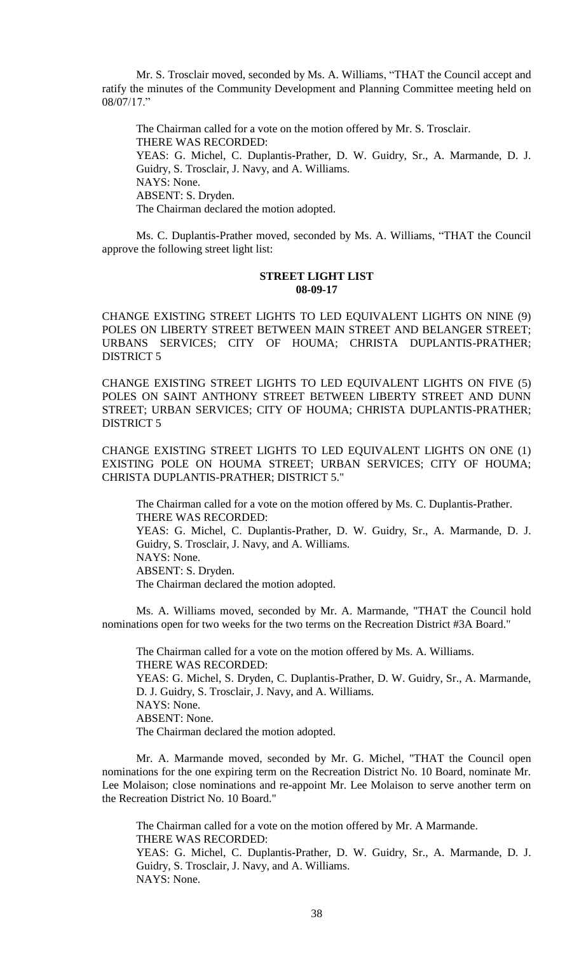Mr. S. Trosclair moved, seconded by Ms. A. Williams, "THAT the Council accept and ratify the minutes of the Community Development and Planning Committee meeting held on 08/07/17."

The Chairman called for a vote on the motion offered by Mr. S. Trosclair. THERE WAS RECORDED: YEAS: G. Michel, C. Duplantis-Prather, D. W. Guidry, Sr., A. Marmande, D. J. Guidry, S. Trosclair, J. Navy, and A. Williams. NAYS: None. ABSENT: S. Dryden. The Chairman declared the motion adopted.

Ms. C. Duplantis-Prather moved, seconded by Ms. A. Williams, "THAT the Council approve the following street light list:

## **STREET LIGHT LIST 08-09-17**

CHANGE EXISTING STREET LIGHTS TO LED EQUIVALENT LIGHTS ON NINE (9) POLES ON LIBERTY STREET BETWEEN MAIN STREET AND BELANGER STREET; URBANS SERVICES; CITY OF HOUMA; CHRISTA DUPLANTIS-PRATHER; DISTRICT 5

CHANGE EXISTING STREET LIGHTS TO LED EQUIVALENT LIGHTS ON FIVE (5) POLES ON SAINT ANTHONY STREET BETWEEN LIBERTY STREET AND DUNN STREET; URBAN SERVICES; CITY OF HOUMA; CHRISTA DUPLANTIS-PRATHER; DISTRICT 5

CHANGE EXISTING STREET LIGHTS TO LED EQUIVALENT LIGHTS ON ONE (1) EXISTING POLE ON HOUMA STREET; URBAN SERVICES; CITY OF HOUMA; CHRISTA DUPLANTIS-PRATHER; DISTRICT 5."

The Chairman called for a vote on the motion offered by Ms. C. Duplantis-Prather. THERE WAS RECORDED:

YEAS: G. Michel, C. Duplantis-Prather, D. W. Guidry, Sr., A. Marmande, D. J. Guidry, S. Trosclair, J. Navy, and A. Williams. NAYS: None.

ABSENT: S. Dryden.

The Chairman declared the motion adopted.

Ms. A. Williams moved, seconded by Mr. A. Marmande, "THAT the Council hold nominations open for two weeks for the two terms on the Recreation District #3A Board."

The Chairman called for a vote on the motion offered by Ms. A. Williams. THERE WAS RECORDED: YEAS: G. Michel, S. Dryden, C. Duplantis-Prather, D. W. Guidry, Sr., A. Marmande, D. J. Guidry, S. Trosclair, J. Navy, and A. Williams. NAYS: None. ABSENT: None. The Chairman declared the motion adopted.

Mr. A. Marmande moved, seconded by Mr. G. Michel, "THAT the Council open nominations for the one expiring term on the Recreation District No. 10 Board, nominate Mr. Lee Molaison; close nominations and re-appoint Mr. Lee Molaison to serve another term on the Recreation District No. 10 Board."

The Chairman called for a vote on the motion offered by Mr. A Marmande. THERE WAS RECORDED:

YEAS: G. Michel, C. Duplantis-Prather, D. W. Guidry, Sr., A. Marmande, D. J. Guidry, S. Trosclair, J. Navy, and A. Williams. NAYS: None.